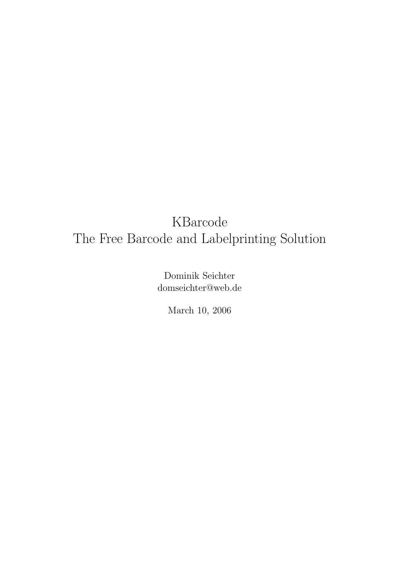Dominik Seichter domseichter@web.de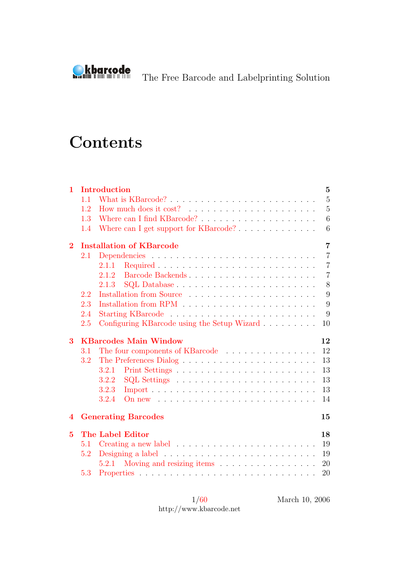

# **Contents**

| 1              |         | Introduction                                                                     | $\mathbf{5}$   |
|----------------|---------|----------------------------------------------------------------------------------|----------------|
|                | 1.1     |                                                                                  | $\overline{5}$ |
|                | 1.2     |                                                                                  | $\overline{5}$ |
|                | 1.3     |                                                                                  | 6              |
|                | 1.4     | Where can I get support for KBarcode?                                            | 6              |
| $\bf{2}$       |         | <b>Installation of KBarcode</b>                                                  | $\overline{7}$ |
|                | $2.1\,$ |                                                                                  | $\overline{7}$ |
|                |         | Required<br>2.1.1                                                                | $\overline{7}$ |
|                |         | Barcode Backends<br>2.1.2                                                        | $\overline{7}$ |
|                |         | 2.1.3                                                                            | 8              |
|                | 2.2     |                                                                                  | 9              |
|                | 2.3     |                                                                                  | 9              |
|                | 2.4     |                                                                                  | 9              |
|                | 2.5     | Configuring KBarcode using the Setup Wizard                                      | 10             |
|                |         |                                                                                  |                |
| 3              |         | <b>KBarcodes Main Window</b><br>12                                               |                |
|                | 3.1     | The four components of KBarcode                                                  | 12             |
|                | 3.2     |                                                                                  | 13             |
|                |         | 3.2.1                                                                            | 13             |
|                |         | 3.2.2                                                                            | 13             |
|                |         | 3.2.3                                                                            | 13             |
|                |         | 3.2.4<br>On new $\ldots \ldots \ldots \ldots \ldots \ldots \ldots \ldots \ldots$ | 14             |
| 4              |         | <b>Generating Barcodes</b><br>15                                                 |                |
| $\overline{5}$ |         | <b>The Label Editor</b><br>18                                                    |                |
|                | 5.1     |                                                                                  | 19             |
|                | 5.2     |                                                                                  | 19             |
|                |         | Moving and resizing items<br>5.2.1                                               | 20             |

1[/60](#page-60-0) http://www.kbarcode.net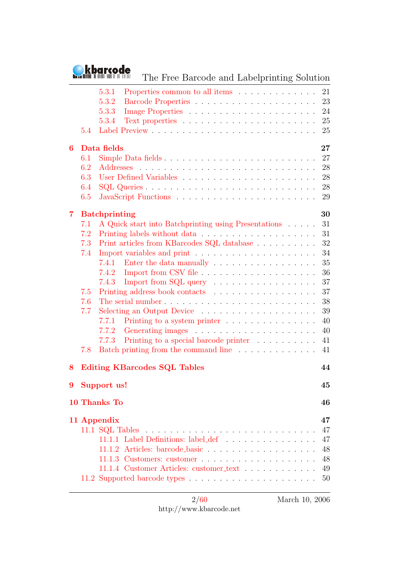

The Free Barcode and Labelprinting Solution

| 5.4                                                       | 5.3.1<br>Properties common to all items<br>5.3.2<br>5.3.3<br>5.3.4                                                                                                                                                                                                                                                                                                                                                                                                                                                | 21<br>23<br>24<br>25<br>25                                                             |
|-----------------------------------------------------------|-------------------------------------------------------------------------------------------------------------------------------------------------------------------------------------------------------------------------------------------------------------------------------------------------------------------------------------------------------------------------------------------------------------------------------------------------------------------------------------------------------------------|----------------------------------------------------------------------------------------|
| 6<br>6.1<br>6.2<br>6.3<br>6.4<br>6.5                      | Data fields<br>Simple Data fields                                                                                                                                                                                                                                                                                                                                                                                                                                                                                 | $27\,$<br>27<br>28<br>28<br>28<br>29                                                   |
| 7<br>7.1<br>7.2<br>7.3<br>7.4<br>7.5<br>7.6<br>7.7<br>7.8 | <b>Batchprinting</b><br>A Quick start into Batchprinting using Presentations<br>Print articles from KBarcodes SQL database $\ldots \ldots \ldots \ldots$<br>Enter the data manually $\hfill\ldots\ldots\ldots\ldots\ldots\ldots\ldots\ldots$<br>7.4.1<br>7.4.2<br>Import from $SQL$ query $\ldots \ldots \ldots \ldots \ldots$<br>7.4.3<br>Selecting an Output Device<br>7.7.1<br>Printing to a system printer<br>7.7.2<br>Printing to a special barcode printer<br>7.7.3<br>Batch printing from the command line | 30<br>31<br>31<br>32<br>34<br>35<br>36<br>37<br>37<br>38<br>39<br>40<br>40<br>41<br>41 |
| 8                                                         | <b>Editing KBarcodes SQL Tables</b>                                                                                                                                                                                                                                                                                                                                                                                                                                                                               | 44                                                                                     |
|                                                           | 9 Support us!                                                                                                                                                                                                                                                                                                                                                                                                                                                                                                     | 45                                                                                     |
|                                                           | 10 Thanks To                                                                                                                                                                                                                                                                                                                                                                                                                                                                                                      | 46                                                                                     |
|                                                           | 11 Appendix<br>11.1.1 Label Definitions: label_def<br>11.1.4 Customer Articles: customer_text                                                                                                                                                                                                                                                                                                                                                                                                                     | 47<br>47<br>47<br>$48\,$<br>48<br>49<br>50                                             |

2[/60](#page-60-0) http://www.kbarcode.net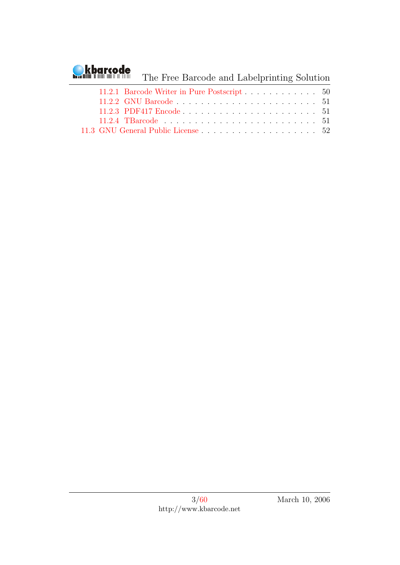# **Okbarcode**

## The Free Barcode and Labelprinting Solution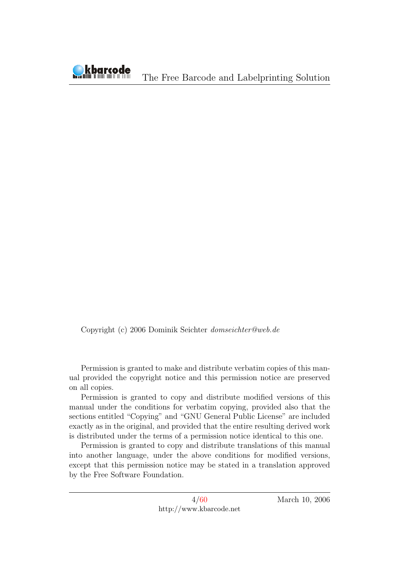Copyright (c) 2006 Dominik Seichter domseichter@web.de

Permission is granted to make and distribute verbatim copies of this manual provided the copyright notice and this permission notice are preserved on all copies.

Permission is granted to copy and distribute modified versions of this manual under the conditions for verbatim copying, provided also that the sections entitled "Copying" and "GNU General Public License" are included exactly as in the original, and provided that the entire resulting derived work is distributed under the terms of a permission notice identical to this one.

Permission is granted to copy and distribute translations of this manual into another language, under the above conditions for modified versions, except that this permission notice may be stated in a translation approved by the Free Software Foundation.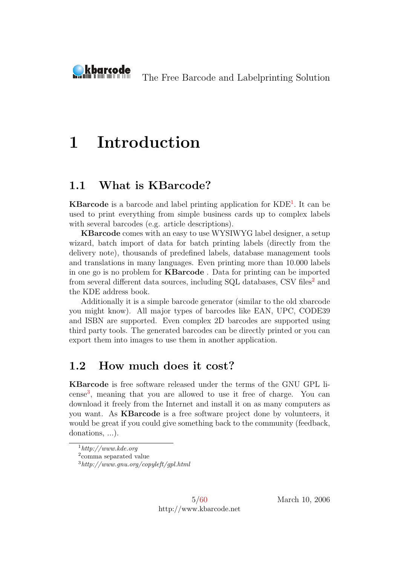<span id="page-5-0"></span>

# 1 Introduction

### <span id="page-5-1"></span>1.1 What is KBarcode?

KBarcode is a barcode and label printing application for KDE<sup>[1](#page-5-3)</sup>. It can be used to print everything from simple business cards up to complex labels with several barcodes (e.g. article descriptions).

KBarcode comes with an easy to use WYSIWYG label designer, a setup wizard, batch import of data for batch printing labels (directly from the delivery note), thousands of predefined labels, database management tools and translations in many languages. Even printing more than 10.000 labels in one go is no problem for KBarcode . Data for printing can be imported from several different data sources, including SQL databases, CSV files<sup>[2](#page-5-4)</sup> and the KDE address book.

Additionally it is a simple barcode generator (similar to the old xbarcode you might know). All major types of barcodes like EAN, UPC, CODE39 and ISBN are supported. Even complex 2D barcodes are supported using third party tools. The generated barcodes can be directly printed or you can export them into images to use them in another application.

### <span id="page-5-2"></span>1.2 How much does it cost?

KBarcode is free software released under the terms of the GNU GPL li-cense<sup>[3](#page-5-5)</sup>, meaning that you are allowed to use it free of charge. You can download it freely from the Internet and install it on as many computers as you want. As KBarcode is a free software project done by volunteers, it would be great if you could give something back to the community (feedback, donations, ...).

5[/60](#page-60-0) http://www.kbarcode.net

<span id="page-5-3"></span> $1$ http://www.kde.org

<span id="page-5-4"></span><sup>2</sup> comma separated value

<span id="page-5-5"></span> $3$ http://www.gnu.org/copyleft/qpl.html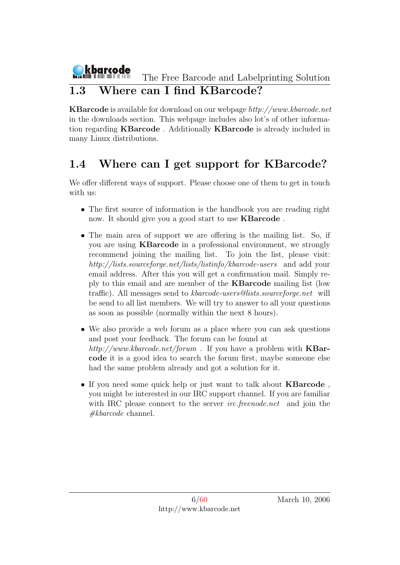#### kbarcode The Free Barcode and Labelprinting Solution 1.3 Where can I find KBarcode?

<span id="page-6-0"></span>KBarcode is available for download on our webpage http://www.kbarcode.net in the downloads section. This webpage includes also lot's of other information regarding KBarcode . Additionally KBarcode is already included in many Linux distributions.

## <span id="page-6-1"></span>1.4 Where can I get support for KBarcode?

We offer different ways of support. Please choose one of them to get in touch with us:

- The first source of information is the handbook you are reading right now. It should give you a good start to use KBarcode .
- The main area of support we are offering is the mailing list. So, if you are using KBarcode in a professional environment, we strongly recommend joining the mailing list. To join the list, please visit: http://lists.sourceforge.net/lists/listinfo/kbarcode-users and add your email address. After this you will get a confirmation mail. Simply reply to this email and are member of the KBarcode mailing list (low traffic). All messages send to kbarcode-users@lists.sourceforge.net will be send to all list members. We will try to answer to all your questions as soon as possible (normally within the next 8 hours).
- We also provide a web forum as a place where you can ask questions and post your feedback. The forum can be found at http://www.kbarcode.net/forum. If you have a problem with  $KBar$ code it is a good idea to search the forum first, maybe someone else had the same problem already and got a solution for it.
- If you need some quick help or just want to talk about **KBarcode**, you might be interested in our IRC support channel. If you are familiar with IRC please connect to the server *irc.freenode.net* and join the  $#kbarcode$  channel.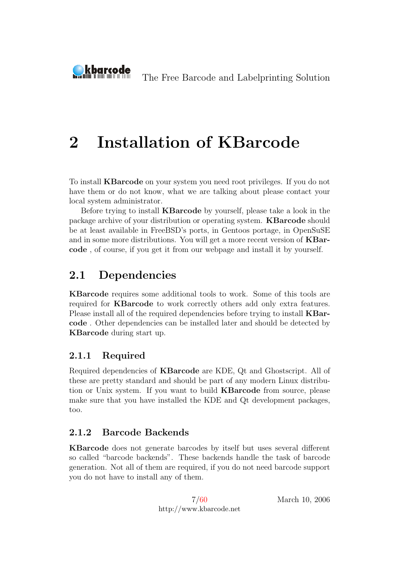# 2 Installation of KBarcode

To install KBarcode on your system you need root privileges. If you do not have them or do not know, what we are talking about please contact your local system administrator.

Before trying to install KBarcode by yourself, please take a look in the package archive of your distribution or operating system. KBarcode should be at least available in FreeBSD's ports, in Gentoos portage, in OpenSuSE and in some more distributions. You will get a more recent version of KBarcode , of course, if you get it from our webpage and install it by yourself.

## <span id="page-7-1"></span>2.1 Dependencies

<span id="page-7-0"></span>kbarcode

KBarcode requires some additional tools to work. Some of this tools are required for KBarcode to work correctly others add only extra features. Please install all of the required dependencies before trying to install KBarcode . Other dependencies can be installed later and should be detected by KBarcode during start up.

#### <span id="page-7-2"></span>2.1.1 Required

Required dependencies of KBarcode are KDE, Qt and Ghostscript. All of these are pretty standard and should be part of any modern Linux distribution or Unix system. If you want to build KBarcode from source, please make sure that you have installed the KDE and Qt development packages, too.

#### <span id="page-7-3"></span>2.1.2 Barcode Backends

KBarcode does not generate barcodes by itself but uses several different so called "barcode backends". These backends handle the task of barcode generation. Not all of them are required, if you do not need barcode support you do not have to install any of them.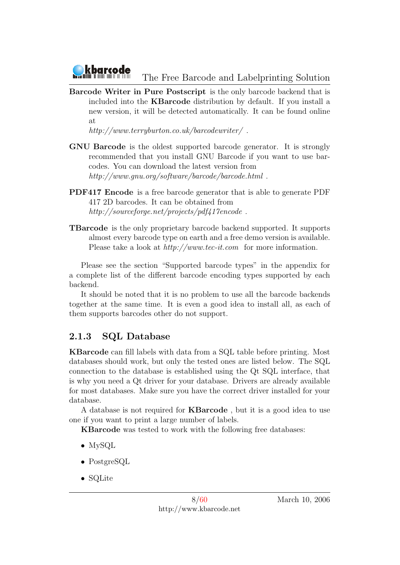

Barcode Writer in Pure Postscript is the only barcode backend that is included into the KBarcode distribution by default. If you install a new version, it will be detected automatically. It can be found online at

http://www.terryburton.co.uk/barcodewriter/.

- GNU Barcode is the oldest supported barcode generator. It is strongly recommended that you install GNU Barcode if you want to use barcodes. You can download the latest version from http://www.gnu.org/software/barcode/barcode.html.
- PDF417 Encode is a free barcode generator that is able to generate PDF 417 2D barcodes. It can be obtained from http://sourceforge.net/projects/pdf417encode.
- TBarcode is the only proprietary barcode backend supported. It supports almost every barcode type on earth and a free demo version is available. Please take a look at  $http://www.tec-it.com$  for more information.

Please see the section "Supported barcode types" in the appendix for a complete list of the different barcode encoding types supported by each backend.

It should be noted that it is no problem to use all the barcode backends together at the same time. It is even a good idea to install all, as each of them supports barcodes other do not support.

#### <span id="page-8-0"></span>2.1.3 SQL Database

KBarcode can fill labels with data from a SQL table before printing. Most databases should work, but only the tested ones are listed below. The SQL connection to the database is established using the Qt SQL interface, that is why you need a Qt driver for your database. Drivers are already available for most databases. Make sure you have the correct driver installed for your database.

A database is not required for KBarcode , but it is a good idea to use one if you want to print a large number of labels.

KBarcode was tested to work with the following free databases:

- MySQL
- PostgreSQL
- SQLite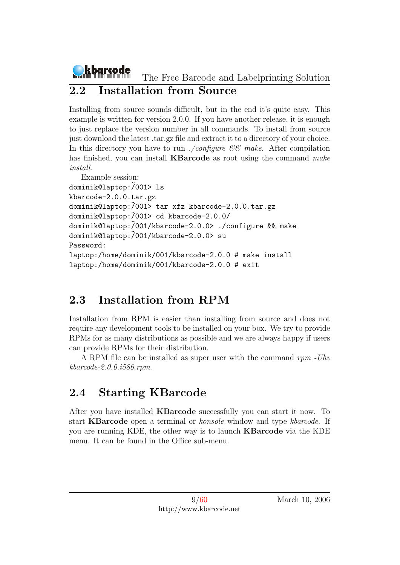## <span id="page-9-0"></span>2.2 Installation from Source

Installing from source sounds difficult, but in the end it's quite easy. This example is written for version 2.0.0. If you have another release, it is enough to just replace the version number in all commands. To install from source just download the latest .tar.gz file and extract it to a directory of your choice. In this directory you have to run ./configure  $\mathcal{C}\mathcal{C}$  make. After compilation has finished, you can install **KBarcode** as root using the command  $make$ install.

```
Example session:
dominik@laptop:/001> ls
kbarcode-2.0.0.tar.gz
dominik@laptop:/001> tar xfz kbarcode-2.0.0.tar.gz
dominik@laptop:/001> cd kbarcode-2.0.0/
dominik@laptop:/001/kbarcode-2.0.0> ./configure && make
dominik@laptop:/001/kbarcode-2.0.0> su
Password:
laptop:/home/dominik/001/kbarcode-2.0.0 # make install
laptop:/home/dominik/001/kbarcode-2.0.0 # exit
```
## <span id="page-9-1"></span>2.3 Installation from RPM

Installation from RPM is easier than installing from source and does not require any development tools to be installed on your box. We try to provide RPMs for as many distributions as possible and we are always happy if users can provide RPMs for their distribution.

A RPM file can be installed as super user with the command rpm -Uhv kbarcode-2.0.0.i586.rpm.

## <span id="page-9-2"></span>2.4 Starting KBarcode

After you have installed KBarcode successfully you can start it now. To start KBarcode open a terminal or konsole window and type kbarcode. If you are running KDE, the other way is to launch KBarcode via the KDE menu. It can be found in the Office sub-menu.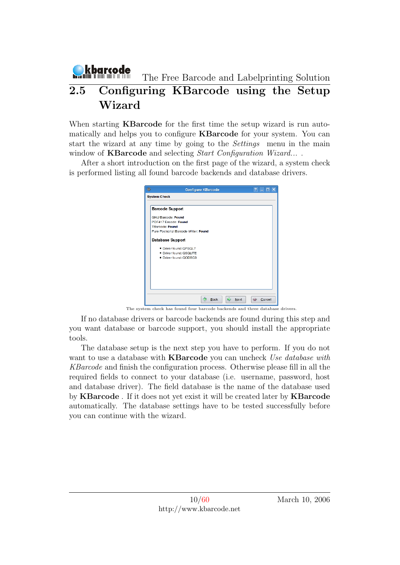## <span id="page-10-0"></span>kbarcode The Free Barcode and Labelprinting Solution 2.5 Configuring KBarcode using the Setup Wizard

When starting **KBarcode** for the first time the setup wizard is run automatically and helps you to configure KBarcode for your system. You can start the wizard at any time by going to the Settings menu in the main window of **KBarcode** and selecting *Start Configuration Wizard...*.

After a short introduction on the first page of the wizard, a system check is performed listing all found barcode backends and database drivers.

| <b>System Check</b>       |                                       |  |  |  |
|---------------------------|---------------------------------------|--|--|--|
| <b>Barcode Support</b>    |                                       |  |  |  |
| <b>GNU Barcode: Found</b> |                                       |  |  |  |
| PDF417 Encode: Found      |                                       |  |  |  |
| <b>TBarcode: Found</b>    |                                       |  |  |  |
|                           | Pure Postscript Barcode Writer: Found |  |  |  |
| <b>Database Support</b>   |                                       |  |  |  |
|                           | . Driver found: OPSOL7                |  |  |  |
|                           | · Driver found: QSQLITE               |  |  |  |
|                           | • Driver found: QODBC3                |  |  |  |
|                           |                                       |  |  |  |
|                           |                                       |  |  |  |
|                           |                                       |  |  |  |
|                           |                                       |  |  |  |
|                           |                                       |  |  |  |
|                           |                                       |  |  |  |

The system check has found four barcode backends and three database drivers.

If no database drivers or barcode backends are found during this step and you want database or barcode support, you should install the appropriate tools.

The database setup is the next step you have to perform. If you do not want to use a database with **KBarcode** you can uncheck Use database with KBarcode and finish the configuration process. Otherwise please fill in all the required fields to connect to your database (i.e. username, password, host and database driver). The field database is the name of the database used by KBarcode . If it does not yet exist it will be created later by KBarcode automatically. The database settings have to be tested successfully before you can continue with the wizard.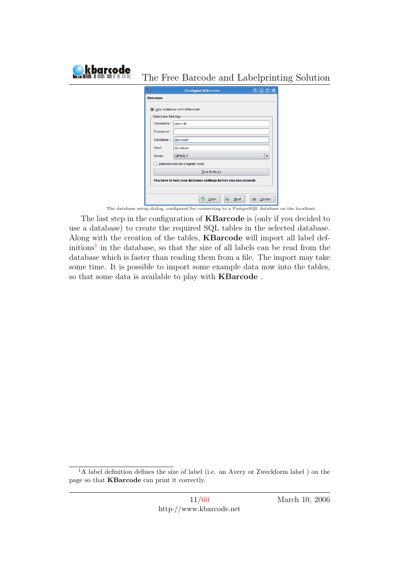| harcode | The Free Barcode and Labelprinting Solution                                                     |
|---------|-------------------------------------------------------------------------------------------------|
|         | 俊<br>$?$ $\Box$ $\Box$ $\times$<br><b>Configure KBarcode</b>                                    |
|         | <b>Database</b>                                                                                 |
|         | <b>X</b> Use database with KBarcode                                                             |
|         | -Database Settings-                                                                             |
|         | Username: dominik                                                                               |
|         | Password:                                                                                       |
|         | Database:<br>kbarcode                                                                           |
|         | Host:<br>localhost                                                                              |
|         | QPSQL7<br>$\overline{\phantom{a}}$<br>Driver:                                                   |
|         | Autoconnect on program start                                                                    |
|         | <b>Test Settings</b>                                                                            |
|         | You have to test your database settings before you can procede.                                 |
|         |                                                                                                 |
|         | $\Rightarrow$<br>⇦<br>Back<br>Next<br>够<br>Cancel                                               |
|         | The database setup dialog, configured for connecting to a PostgreSQL database on the localhost. |

The last step in the configuration of KBarcode is (only if you decided to use a database) to create the required SQL tables in the selected database. Along with the creation of the tables, KBarcode will import all label def- $\text{initial}$  in the database, so that the size of all labels can be read from the database which is faster than reading them from a file. The import may take some time. It is possible to import some example data now into the tables, so that some data is available to play with KBarcode .

<span id="page-11-0"></span><sup>&</sup>lt;sup>1</sup>A label definition defines the size of label (i.e. an Avery or Zweckform label ) on the page so that KBarcode can print it correctly.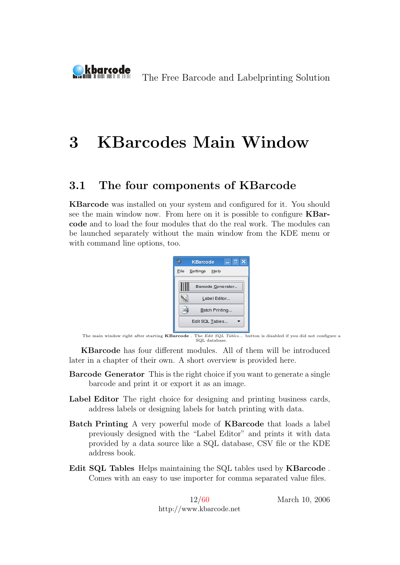# <span id="page-12-0"></span>3 KBarcodes Main Window

### <span id="page-12-1"></span>3.1 The four components of KBarcode

KBarcode was installed on your system and configured for it. You should see the main window now. From here on it is possible to configure KBarcode and to load the four modules that do the real work. The modules can be launched separately without the main window from the KDE menu or with command line options, too.



The main window right after starting **KBarcode**. The Edit SOL Tables... button is disabled if you did not configure a SQL database.

KBarcode has four different modules. All of them will be introduced later in a chapter of their own. A short overview is provided here.

- Barcode Generator This is the right choice if you want to generate a single barcode and print it or export it as an image.
- Label Editor The right choice for designing and printing business cards, address labels or designing labels for batch printing with data.
- Batch Printing A very powerful mode of KBarcode that loads a label previously designed with the "Label Editor" and prints it with data provided by a data source like a SQL database, CSV file or the KDE address book.
- Edit SQL Tables Helps maintaining the SQL tables used by KBarcode . Comes with an easy to use importer for comma separated value files.

12[/60](#page-60-0) http://www.kbarcode.net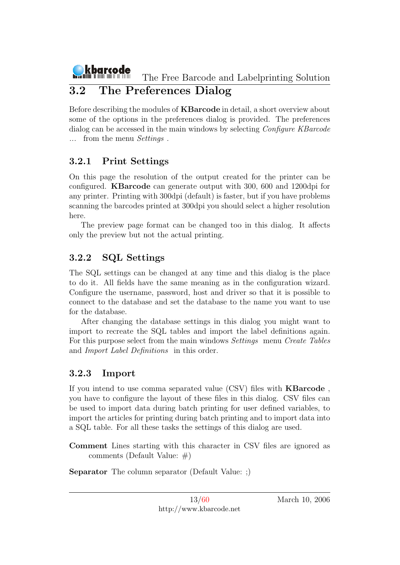## <span id="page-13-0"></span>3.2 The Preferences Dialog

Before describing the modules of KBarcode in detail, a short overview about some of the options in the preferences dialog is provided. The preferences dialog can be accessed in the main windows by selecting *Configure KBarcode* ... from the menu Settings .

### <span id="page-13-1"></span>3.2.1 Print Settings

On this page the resolution of the output created for the printer can be configured. KBarcode can generate output with 300, 600 and 1200dpi for any printer. Printing with 300dpi (default) is faster, but if you have problems scanning the barcodes printed at 300dpi you should select a higher resolution here.

The preview page format can be changed too in this dialog. It affects only the preview but not the actual printing.

### <span id="page-13-2"></span>3.2.2 SQL Settings

The SQL settings can be changed at any time and this dialog is the place to do it. All fields have the same meaning as in the configuration wizard. Configure the username, password, host and driver so that it is possible to connect to the database and set the database to the name you want to use for the database.

After changing the database settings in this dialog you might want to import to recreate the SQL tables and import the label definitions again. For this purpose select from the main windows Settings menu Create Tables and Import Label Definitions in this order.

### <span id="page-13-3"></span>3.2.3 Import

If you intend to use comma separated value (CSV) files with KBarcode , you have to configure the layout of these files in this dialog. CSV files can be used to import data during batch printing for user defined variables, to import the articles for printing during batch printing and to import data into a SQL table. For all these tasks the settings of this dialog are used.

Comment Lines starting with this character in CSV files are ignored as comments (Default Value: #)

Separator The column separator (Default Value: ;)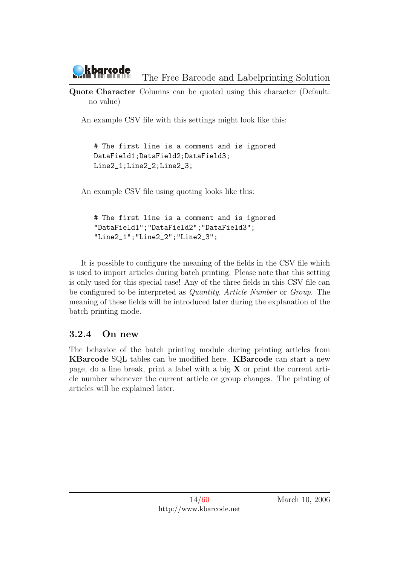Quote Character Columns can be quoted using this character (Default: no value)

An example CSV file with this settings might look like this:

# The first line is a comment and is ignored DataField1;DataField2;DataField3; Line2\_1;Line2\_2;Line2\_3;

An example CSV file using quoting looks like this:

```
# The first line is a comment and is ignored
"DataField1";"DataField2";"DataField3";
"Line2_1";"Line2_2";"Line2_3";
```
It is possible to configure the meaning of the fields in the CSV file which is used to import articles during batch printing. Please note that this setting is only used for this special case! Any of the three fields in this CSV file can be configured to be interpreted as Quantity, Article Number or Group. The meaning of these fields will be introduced later during the explanation of the batch printing mode.

#### <span id="page-14-0"></span>3.2.4 On new

The behavior of the batch printing module during printing articles from KBarcode SQL tables can be modified here. KBarcode can start a new page, do a line break, print a label with a big  $X$  or print the current article number whenever the current article or group changes. The printing of articles will be explained later.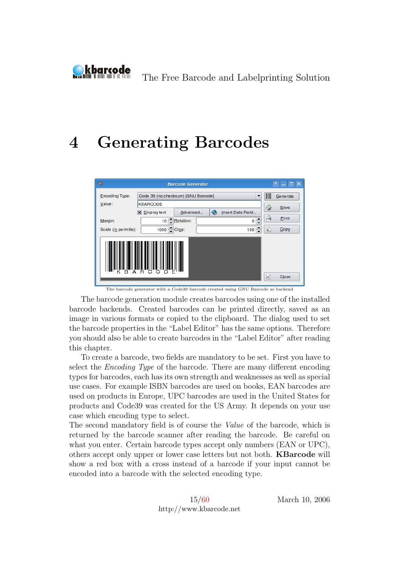<span id="page-15-0"></span>

# 4 Generating Barcodes

| 像                    |                                     | <b>Barcode Generator</b> |                   |                          | $ \Box$ $\times$<br>ę.   |
|----------------------|-------------------------------------|--------------------------|-------------------|--------------------------|--------------------------|
| Encoding Type:       | Code 39 (no checksum) [GNU Barcode] |                          |                   | $\overline{\phantom{a}}$ | $\mathbb{I}$<br>Generate |
| Value:               | <b>KBARCODE</b>                     |                          |                   |                          | Save<br>◇                |
|                      | $\mathsf{X}$ Display text           | Advanced                 | Insert Data Field |                          |                          |
| Margin:              | ÷<br>10                             | Rotation:                | 0                 | ∸                        | a<br>Print               |
| Scale (in permille): | 1000 Crop:                          |                          | 100               | ∸                        | ø<br>Copy                |
| R<br>А               | c.                                  |                          |                   |                          | $\times$<br>Close        |

The barcode generator with a Code39 barcode created using GNU Barcode as backend

The barcode generation module creates barcodes using one of the installed barcode backends. Created barcodes can be printed directly, saved as an image in various formats or copied to the clipboard. The dialog used to set the barcode properties in the "Label Editor" has the same options. Therefore you should also be able to create barcodes in the "Label Editor" after reading this chapter.

To create a barcode, two fields are mandatory to be set. First you have to select the Encoding Type of the barcode. There are many different encoding types for barcodes, each has its own strength and weaknesses as well as special use cases. For example ISBN barcodes are used on books, EAN barcodes are used on products in Europe, UPC barcodes are used in the United States for products and Code39 was created for the US Army. It depends on your use case which encoding type to select.

The second mandatory field is of course the Value of the barcode, which is returned by the barcode scanner after reading the barcode. Be careful on what you enter. Certain barcode types accept only numbers (EAN or UPC), others accept only upper or lower case letters but not both. KBarcode will show a red box with a cross instead of a barcode if your input cannot be encoded into a barcode with the selected encoding type.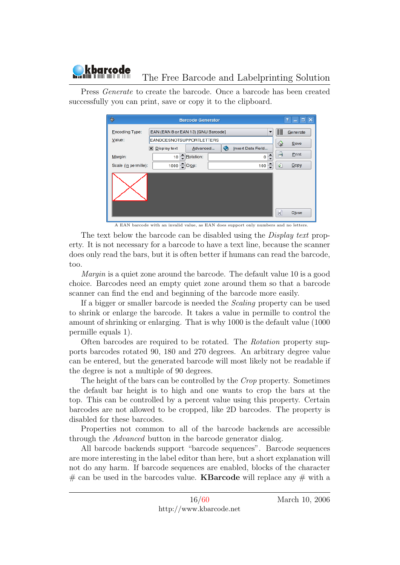

Press Generate to create the barcode. Once a barcode has been created successfully you can print, save or copy it to the clipboard.

| 缴                    | <b>Barcode Generator</b>            |                       |   |  |                   |                          |                         | $\Box$ $\times$<br>P.<br>- 1 |
|----------------------|-------------------------------------|-----------------------|---|--|-------------------|--------------------------|-------------------------|------------------------------|
| Encoding Type:       | EAN (EAN 8 or EAN 13) [GNU Barcode] |                       |   |  |                   | $\overline{\phantom{a}}$ | IIII                    | Generate                     |
| Value:               | EANDOESNOTSUPPORTLETTERS            |                       |   |  |                   |                          |                         | Save                         |
|                      | $\mathsf{X}$ Display text           | Advanced              | ◒ |  | Insert Data Field |                          |                         |                              |
| Margin:              |                                     | 10 <u>- Rotation:</u> |   |  | 0                 | $\blacktriangle$         | $\Rightarrow$           | Print                        |
| Scale (in permille): | 1000 Crop:                          |                       |   |  | 100               |                          | Ø.                      | Copy                         |
|                      |                                     |                       |   |  |                   |                          | $\overline{\mathbf{x}}$ | Close                        |

A EAN barcode with an invalid value, as EAN does support only numbers and no letters.

The text below the barcode can be disabled using the *Display text* property. It is not necessary for a barcode to have a text line, because the scanner does only read the bars, but it is often better if humans can read the barcode, too.

Margin is a quiet zone around the barcode. The default value 10 is a good choice. Barcodes need an empty quiet zone around them so that a barcode scanner can find the end and beginning of the barcode more easily.

If a bigger or smaller barcode is needed the Scaling property can be used to shrink or enlarge the barcode. It takes a value in permille to control the amount of shrinking or enlarging. That is why 1000 is the default value (1000 permille equals 1).

Often barcodes are required to be rotated. The Rotation property supports barcodes rotated 90, 180 and 270 degrees. An arbitrary degree value can be entered, but the generated barcode will most likely not be readable if the degree is not a multiple of 90 degrees.

The height of the bars can be controlled by the Crop property. Sometimes the default bar height is to high and one wants to crop the bars at the top. This can be controlled by a percent value using this property. Certain barcodes are not allowed to be cropped, like 2D barcodes. The property is disabled for these barcodes.

Properties not common to all of the barcode backends are accessible through the Advanced button in the barcode generator dialog.

All barcode backends support "barcode sequences". Barcode sequences are more interesting in the label editor than here, but a short explanation will not do any harm. If barcode sequences are enabled, blocks of the character  $#$  can be used in the barcodes value. **KBarcode** will replace any  $#$  with a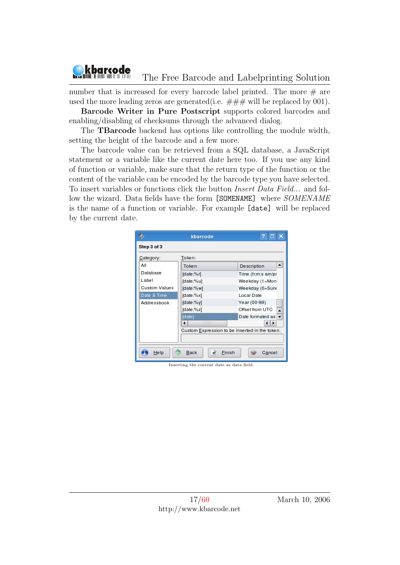

number that is increased for every barcode label printed. The more  $#$  are used the more leading zeros are generated (i.e.  $\# \# \#$  will be replaced by 001).

Barcode Writer in Pure Postscript supports colored barcodes and enabling/disabling of checksums through the advanced dialog.

The TBarcode backend has options like controlling the module width, setting the height of the barcode and a few more.

The barcode value can be retrieved from a SQL database, a JavaScript statement or a variable like the current date here too. If you use any kind of function or variable, make sure that the return type of the function or the content of the variable can be encoded by the barcode type you have selected. To insert variables or functions click the button Insert Data Field... and follow the wizard. Data fields have the form [SOMENAME] where  $SOMENAME$ is the name of a function or variable. For example [date] will be replaced by the current date.

|                      | kbarcode                                       | 7                                     |
|----------------------|------------------------------------------------|---------------------------------------|
| Step 3 of 3          |                                                |                                       |
| Category:            | Token:                                         |                                       |
| ΑIΙ                  | Token                                          | ▲<br><b>Description</b>               |
| Database             | [date:%r]                                      | Time (h:m:s am/pr                     |
| Label                | [date:%u]                                      | Weekday (1=Mon)                       |
| <b>Custom Values</b> | [date:%w]                                      | Weekday (0=Suno                       |
| Date & Time          | [date:%x]                                      | <b>Local Date</b>                     |
| <b>Addressbook</b>   | $[date:\%y]$                                   | Year (00-99)<br>照                     |
|                      | [date:%z]                                      | Offset from UTC<br>ᆂ                  |
|                      | [date]                                         | Date formated as $\blacktriangledown$ |
|                      | <b>PUPUPUPUP</b>                               | ◀                                     |
|                      | Custom Expression to be inserted in the token. |                                       |
|                      |                                                |                                       |
| Help                 | <b>Back</b><br>Finish                          | Cancel                                |

Inserting the current date as data field.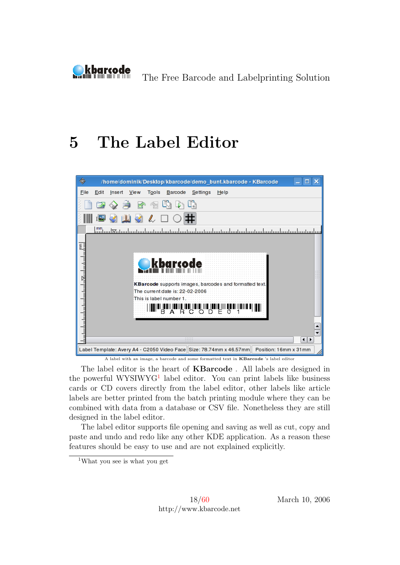<span id="page-18-0"></span>

# 5 The Label Editor



A label with an image, a barcode and some formatted text in KBarcode 's label editor

The label editor is the heart of KBarcode . All labels are designed in the powerful WYSIWYG<sup>[1](#page-18-1)</sup> label editor. You can print labels like business cards or CD covers directly from the label editor, other labels like article labels are better printed from the batch printing module where they can be combined with data from a database or CSV file. Nonetheless they are still designed in the label editor.

The label editor supports file opening and saving as well as cut, copy and paste and undo and redo like any other KDE application. As a reason these features should be easy to use and are not explained explicitly.

<span id="page-18-1"></span><sup>1</sup>What you see is what you get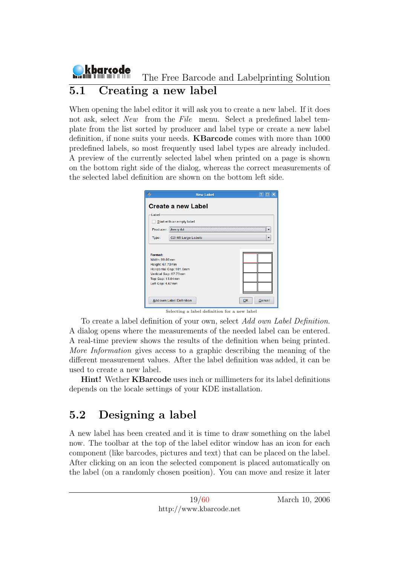#### kbarcode The Free Barcode and Labelprinting Solution 5.1 Creating a new label

<span id="page-19-0"></span>When opening the label editor it will ask you to create a new label. If it does not ask, select New from the File menu. Select a predefined label template from the list sorted by producer and label type or create a new label definition, if none suits your needs. KBarcode comes with more than 1000 predefined labels, so most frequently used label types are already included. A preview of the currently selected label when printed on a page is shown on the bottom right side of the dialog, whereas the correct measurements of the selected label definition are shown on the bottom left side.

|                                                                                                               | <b>New Label</b>          |              |
|---------------------------------------------------------------------------------------------------------------|---------------------------|--------------|
|                                                                                                               | <b>Create a new Label</b> |              |
| Label                                                                                                         |                           |              |
|                                                                                                               | Start with an empty label |              |
| Producer:                                                                                                     | Avery A4                  |              |
| Type:                                                                                                         | C2165 Large Labels        | ▼            |
| Format:<br>Width: 99.06mm<br>Height: 67.73mm<br>Vertical Gap: 67.73mm<br>Top Gap: 13.04mm<br>Left Gap: 4.67mm | Horizontal Gap: 101.6mm   |              |
|                                                                                                               | Add own Label Definition  | Cancel<br>OK |

Selecting a label definition for a new label

To create a label definition of your own, select Add own Label Definition. A dialog opens where the measurements of the needed label can be entered. A real-time preview shows the results of the definition when being printed. More Information gives access to a graphic describing the meaning of the different measurement values. After the label definition was added, it can be used to create a new label.

Hint! Wether KBarcode uses inch or millimeters for its label definitions depends on the locale settings of your KDE installation.

## <span id="page-19-1"></span>5.2 Designing a label

A new label has been created and it is time to draw something on the label now. The toolbar at the top of the label editor window has an icon for each component (like barcodes, pictures and text) that can be placed on the label. After clicking on an icon the selected component is placed automatically on the label (on a randomly chosen position). You can move and resize it later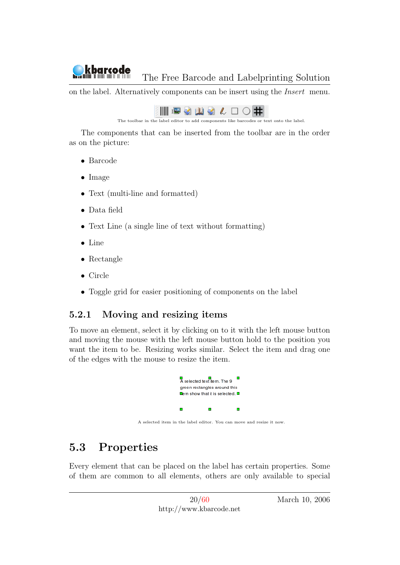on the label. Alternatively components can be insert using the Insert menu.

| <b>INDSNSLOH</b> |  |  |  |  |
|------------------|--|--|--|--|
|------------------|--|--|--|--|

The toolbar in the label editor to add components like barcodes or text onto the label.

The components that can be inserted from the toolbar are in the order as on the picture:

• Barcode

kbarcode

- Image
- Text (multi-line and formatted)
- Data field
- Text Line (a single line of text without formatting)
- Line
- Rectangle
- Circle
- Toggle grid for easier positioning of components on the label

### <span id="page-20-0"></span>5.2.1 Moving and resizing items

To move an element, select it by clicking on to it with the left mouse button and moving the mouse with the left mouse button hold to the position you want the item to be. Resizing works similar. Select the item and drag one of the edges with the mouse to resize the item.



A selected item in the label editor. You can move and resize it now.

## <span id="page-20-1"></span>5.3 Properties

Every element that can be placed on the label has certain properties. Some of them are common to all elements, others are only available to special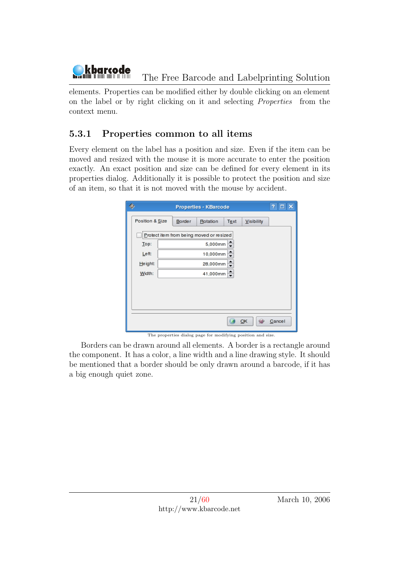

elements. Properties can be modified either by double clicking on an element on the label or by right clicking on it and selecting Properties from the context menu.

#### <span id="page-21-0"></span>5.3.1 Properties common to all items

Every element on the label has a position and size. Even if the item can be moved and resized with the mouse it is more accurate to enter the position exactly. An exact position and size can be defined for every element in its properties dialog. Additionally it is possible to protect the position and size of an item, so that it is not moved with the mouse by accident.

|                 |        | <b>Properties - KBarcode</b>             |                          |            | 7<br>□ |
|-----------------|--------|------------------------------------------|--------------------------|------------|--------|
| Position & Size | Border | Rotation                                 | Text                     | Visibility |        |
|                 |        | Protect item from being moved or resized |                          |            |        |
| Top:            |        | 5,000mm                                  |                          |            |        |
| Left:           |        | 10,000mm                                 | $\overline{\phantom{0}}$ |            |        |
| Height:         |        | 28,000mm                                 | ≑                        |            |        |
| Width:          |        | 41,000mm                                 | $\div$                   |            |        |
|                 |        |                                          |                          |            |        |
|                 |        |                                          |                          |            |        |
|                 |        |                                          |                          |            |        |
|                 |        |                                          |                          |            |        |
|                 |        |                                          |                          | QK         | Cancel |

The properties dialog page for modifying position and size.

Borders can be drawn around all elements. A border is a rectangle around the component. It has a color, a line width and a line drawing style. It should be mentioned that a border should be only drawn around a barcode, if it has a big enough quiet zone.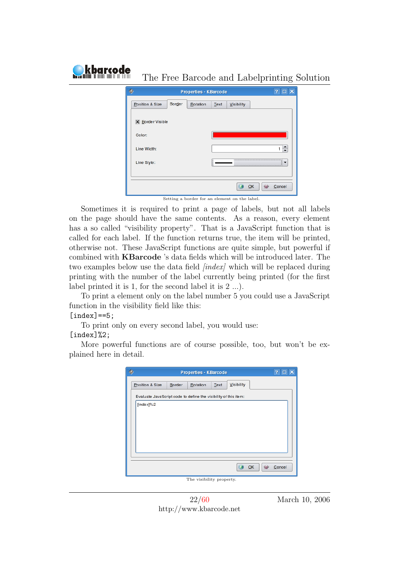|                                  | <b>Properties - KBarcode</b>                  | 7<br>$\Box$ $\times$ |
|----------------------------------|-----------------------------------------------|----------------------|
| <b>Border</b><br>Position & Size | Rotation<br>Text<br>Visibility                |                      |
| <b>X</b> Border Visible          |                                               |                      |
| Color:                           |                                               |                      |
| Line Width:                      |                                               |                      |
| Line Style:                      |                                               |                      |
|                                  |                                               |                      |
|                                  |                                               | QK<br>Cancel         |
|                                  | Setting a border for an element on the label. |                      |

Sometimes it is required to print a page of labels, but not all labels on the page should have the same contents. As a reason, every element has a so called "visibility property". That is a JavaScript function that is called for each label. If the function returns true, the item will be printed, otherwise not. These JavaScript functions are quite simple, but powerful if combined with KBarcode 's data fields which will be introduced later. The two examples below use the data field *[index]* which will be replaced during printing with the number of the label currently being printed (for the first label printed it is 1, for the second label it is 2 ...).

To print a element only on the label number 5 you could use a JavaScript function in the visibility field like this:

#### $[index] == 5;$

kbarcode

To print only on every second label, you would use:

#### [index]%2;

More powerful functions are of course possible, too, but won't be explained here in detail.

| 化 | <b>Properties - KBarcode</b>                                    | Ŧ.<br>$\Box$<br>× |
|---|-----------------------------------------------------------------|-------------------|
|   | Visibility<br>Position & Size<br>Border<br>Rotation<br>Text     |                   |
|   | Evaluate JavsScript code to define the visibility of this item: |                   |
|   | $[index]$ %2                                                    |                   |
|   |                                                                 |                   |
|   |                                                                 |                   |
|   |                                                                 |                   |
|   |                                                                 |                   |
|   |                                                                 |                   |
|   | QK                                                              | Cancel            |
|   |                                                                 |                   |
|   | The visibility property.                                        |                   |

22[/60](#page-60-0) http://www.kbarcode.net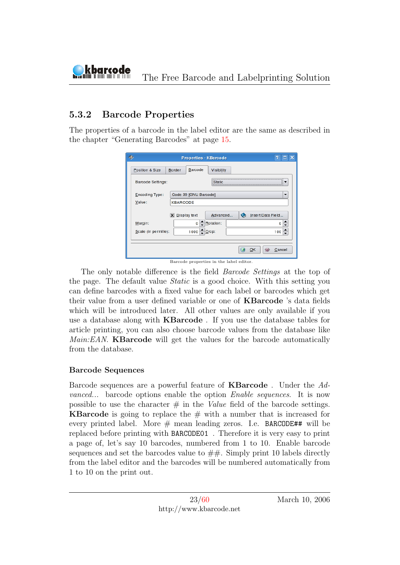#### <span id="page-23-0"></span>5.3.2 Barcode Properties

The properties of a barcode in the label editor are the same as described in the chapter "Generating Barcodes" at page [15.](#page-15-0)

|                      | <b>Properties - KBarcode</b> |                   |                                | Ÿ.<br>×<br>п |
|----------------------|------------------------------|-------------------|--------------------------------|--------------|
| Position & Size      | Barcode<br><b>Border</b>     | <b>Visibility</b> |                                |              |
| Barcode Settings:    |                              | Static            |                                |              |
| Encoding Type:       | Code 39 [GNU Barcode]        |                   |                                | ▼            |
| Value:               | <b>KBARCODE</b>              |                   |                                |              |
|                      | $X$ Display text             | Advanced          | Insert Data Field<br>$\bullet$ |              |
| Margin:              | o                            | Rotation:         |                                | o            |
| Scale (in permille): | 1000 Crop:                   |                   |                                | 100          |
|                      |                              |                   |                                |              |
|                      |                              |                   | OK                             | Cancel       |

Barcode properties in the label editor.

The only notable difference is the field Barcode Settings at the top of the page. The default value Static is a good choice. With this setting you can define barcodes with a fixed value for each label or barcodes which get their value from a user defined variable or one of KBarcode 's data fields which will be introduced later. All other values are only available if you use a database along with KBarcode . If you use the database tables for article printing, you can also choose barcode values from the database like Main:EAN. **KBarcode** will get the values for the barcode automatically from the database.

#### Barcode Sequences

Barcode sequences are a powerful feature of KBarcode . Under the Advanced... barcode options enable the option Enable sequences. It is now possible to use the character  $\#$  in the *Value* field of the barcode settings. **KBarcode** is going to replace the  $\#$  with a number that is increased for every printed label. More  $#$  mean leading zeros. I.e. BARCODE## will be replaced before printing with BARCODE01 . Therefore it is very easy to print a page of, let's say 10 barcodes, numbered from 1 to 10. Enable barcode sequences and set the barcodes value to  $##$ . Simply print 10 labels directly from the label editor and the barcodes will be numbered automatically from 1 to 10 on the print out.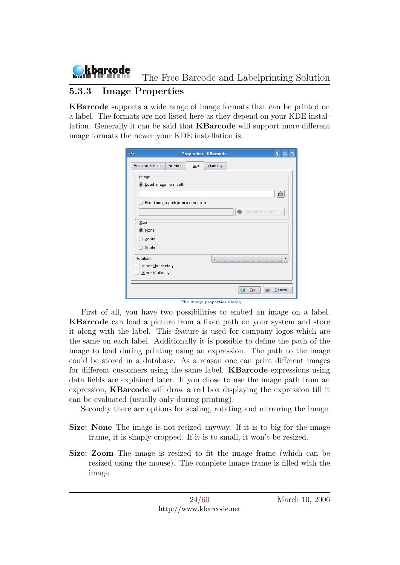

#### <span id="page-24-0"></span>5.3.3 Image Properties

KBarcode supports a wide range of image formats that can be printed on a label. The formats are not listed here as they depend on your KDE installation. Generally it can be said that KBarcode will support more different image formats the newer your KDE installation is.

|                                      |                                 |       | <b>Properties - KBarcode</b> |                   | 7      | □ |
|--------------------------------------|---------------------------------|-------|------------------------------|-------------------|--------|---|
| Position & Size                      | Border                          | Image | Visibility                   |                   |        |   |
| <b>Image</b><br>Load image from path |                                 |       |                              |                   |        |   |
|                                      | Read image path from expression |       |                              | Insert Data Field | ô      |   |
| Size                                 |                                 |       |                              |                   |        |   |
| <b>O</b> None                        |                                 |       |                              |                   |        |   |
| Zoom                                 |                                 |       |                              |                   |        |   |
| Scale                                |                                 |       |                              |                   |        |   |
| Rotation:                            |                                 |       | 10                           |                   |        |   |
| Mirror Horizontaly                   |                                 |       |                              |                   |        |   |
| Mirror Vertically                    |                                 |       |                              |                   |        |   |
|                                      |                                 |       |                              | OK                | Cancel |   |

The image properties dialog.

First of all, you have two possibilities to embed an image on a label. KBarcode can load a picture from a fixed path on your system and store it along with the label. This feature is used for company logos which are the same on each label. Additionally it is possible to define the path of the image to load during printing using an expression. The path to the image could be stored in a database. As a reason one can print different images for different customers using the same label. KBarcode expressions using data fields are explained later. If you chose to use the image path from an expression, KBarcode will draw a red box displaying the expression till it can be evaluated (usually only during printing).

Secondly there are options for scaling, rotating and mirroring the image.

- Size: None The image is not resized anyway. If it is to big for the image frame, it is simply cropped. If it is to small, it won't be resized.
- Size: Zoom The image is resized to fit the image frame (which can be resized using the mouse). The complete image frame is filled with the image.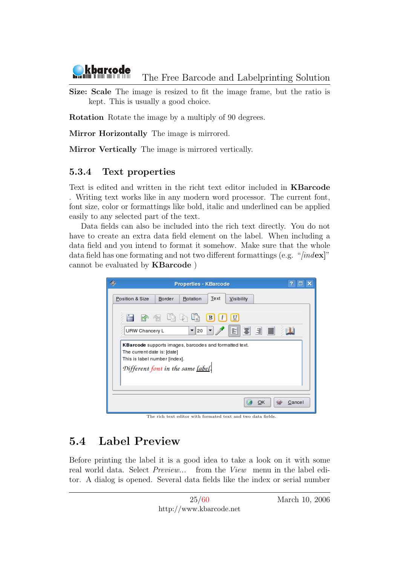

Size: Scale The image is resized to fit the image frame, but the ratio is kept. This is usually a good choice.

Rotation Rotate the image by a multiply of 90 degrees.

Mirror Horizontally The image is mirrored.

Mirror Vertically The image is mirrored vertically.

#### <span id="page-25-0"></span>5.3.4 Text properties

Text is edited and written in the richt text editor included in KBarcode . Writing text works like in any modern word processor. The current font, font size, color or formattings like bold, italic and underlined can be applied easily to any selected part of the text.

Data fields can also be included into the rich text directly. You do not have to create an extra data field element on the label. When including a data field and you intend to format it somehow. Make sure that the whole data field has one formating and not two different formattings (e.g. "[index]" cannot be evaluated by KBarcode )

| <b>Properties - KBarcode</b>                                                                                           | Ø.<br>$\Box$ $\times$ |
|------------------------------------------------------------------------------------------------------------------------|-----------------------|
| Text<br>Position & Size<br><b>Border</b><br>Rotation<br>Visibility                                                     |                       |
| $\sqrt{u}$<br>đ.<br>B                                                                                                  |                       |
| E 1<br>圖<br>E<br>URW Chancery L<br>20<br>۰                                                                             |                       |
| KBarcode supports images, barcodes and formatted text.<br>The current date is: [date]<br>This is label number [index]. |                       |
| Different font in the same label.                                                                                      |                       |
|                                                                                                                        |                       |
| OK                                                                                                                     | Cancel                |

The rich text editor with formated text and two data fields.

## <span id="page-25-1"></span>5.4 Label Preview

Before printing the label it is a good idea to take a look on it with some real world data. Select Preview... from the View menu in the label editor. A dialog is opened. Several data fields like the index or serial number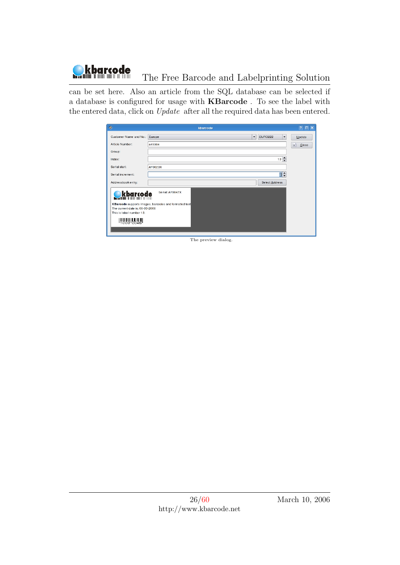

can be set here. Also an article from the SQL database can be selected if a database is configured for usage with KBarcode . To see the label with the entered data, click on Update after all the required data has been entered.

| ◈                               | kbarcode                                              |                      | $\overline{?}$ $\Box$ $\times$ |
|---------------------------------|-------------------------------------------------------|----------------------|--------------------------------|
| Customer Name and No.:          | <b>EURO222</b><br>Europe<br>$\overline{\phantom{0}}$  | $\blacktriangledown$ | $Update$                       |
| Article Number:                 | art1004                                               |                      | X)<br>$C$ lose                 |
| Group:                          |                                                       |                      |                                |
| Index:                          |                                                       | $13 \div$            |                                |
| Serial start:                   | AF0023X                                               |                      |                                |
| Serial increment:               |                                                       | घ≑                   |                                |
| Addressbook entry:              | Select Address                                        |                      |                                |
| <b>Okbarcode</b>                | Serial: AF0047X                                       |                      |                                |
| The current date is: 06-03-2006 | KBarcode supports images, barcodes and formatted text |                      |                                |
| This is label number 13.        |                                                       |                      |                                |
| <b>HUSSING</b>                  |                                                       |                      |                                |
|                                 |                                                       |                      |                                |
|                                 |                                                       |                      |                                |

The preview dialog.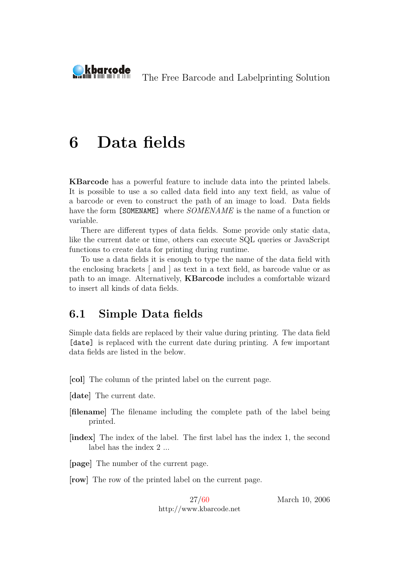<span id="page-27-0"></span>

# 6 Data fields

KBarcode has a powerful feature to include data into the printed labels. It is possible to use a so called data field into any text field, as value of a barcode or even to construct the path of an image to load. Data fields have the form [SOMENAME] where  $SOMENAME$  is the name of a function or variable.

There are different types of data fields. Some provide only static data, like the current date or time, others can execute SQL queries or JavaScript functions to create data for printing during runtime.

To use a data fields it is enough to type the name of the data field with the enclosing brackets [ and ] as text in a text field, as barcode value or as path to an image. Alternatively, KBarcode includes a comfortable wizard to insert all kinds of data fields.

#### <span id="page-27-1"></span>6.1 Simple Data fields

Simple data fields are replaced by their value during printing. The data field [date] is replaced with the current date during printing. A few important data fields are listed in the below.

[col] The column of the printed label on the current page.

- [date] The current date.
- [filename] The filename including the complete path of the label being printed.
- [index] The index of the label. The first label has the index 1, the second label has the index 2 ...

[page] The number of the current page.

[row] The row of the printed label on the current page.

27[/60](#page-60-0) http://www.kbarcode.net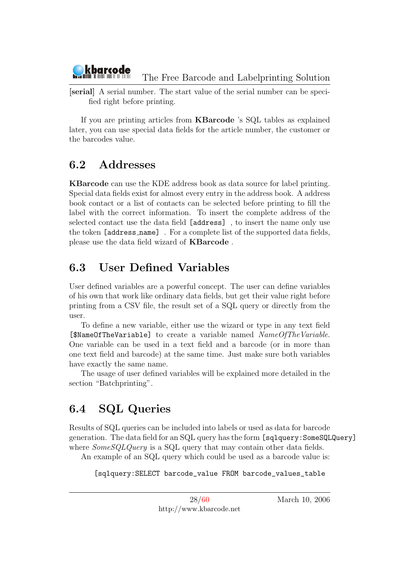

[serial] A serial number. The start value of the serial number can be specified right before printing.

If you are printing articles from KBarcode 's SQL tables as explained later, you can use special data fields for the article number, the customer or the barcodes value.

## <span id="page-28-0"></span>6.2 Addresses

KBarcode can use the KDE address book as data source for label printing. Special data fields exist for almost every entry in the address book. A address book contact or a list of contacts can be selected before printing to fill the label with the correct information. To insert the complete address of the selected contact use the data field [address] , to insert the name only use the token [address name] . For a complete list of the supported data fields, please use the data field wizard of KBarcode .

## <span id="page-28-1"></span>6.3 User Defined Variables

User defined variables are a powerful concept. The user can define variables of his own that work like ordinary data fields, but get their value right before printing from a CSV file, the result set of a SQL query or directly from the user.

To define a new variable, either use the wizard or type in any text field [\$NameOfTheVariable] to create a variable named NameOfTheVariable. One variable can be used in a text field and a barcode (or in more than one text field and barcode) at the same time. Just make sure both variables have exactly the same name.

The usage of user defined variables will be explained more detailed in the section "Batchprinting".

## <span id="page-28-2"></span>6.4 SQL Queries

Results of SQL queries can be included into labels or used as data for barcode generation. The data field for an SQL query has the form [sqlquery:SomeSQLQuery] where  $SomeSQLQuery$  is a SQL query that may contain other data fields.

An example of an SQL query which could be used as a barcode value is:

[sqlquery:SELECT barcode\_value FROM barcode\_values\_table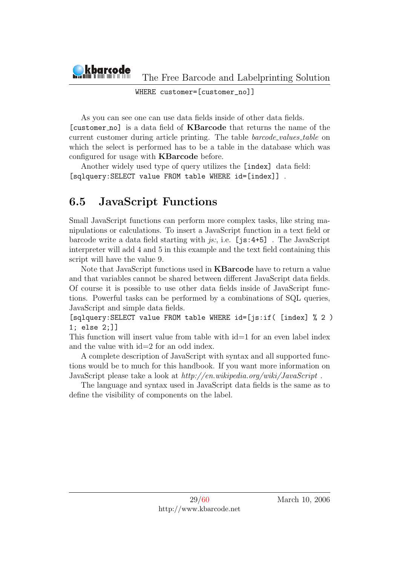

WHERE customer=[customer\_no]]

As you can see one can use data fields inside of other data fields. [customer no] is a data field of KBarcode that returns the name of the current customer during article printing. The table *barcode\_values\_table* on which the select is performed has to be a table in the database which was configured for usage with **KBarcode** before.

Another widely used type of query utilizes the [index] data field: [sqlquery:SELECT value FROM table WHERE id=[index]] .

## <span id="page-29-0"></span>6.5 JavaScript Functions

Small JavaScript functions can perform more complex tasks, like string manipulations or calculations. To insert a JavaScript function in a text field or barcode write a data field starting with  $i\pi$ ; i.e. [js:4+5]. The JavaScript interpreter will add 4 and 5 in this example and the text field containing this script will have the value 9.

Note that JavaScript functions used in KBarcode have to return a value and that variables cannot be shared between different JavaScript data fields. Of course it is possible to use other data fields inside of JavaScript functions. Powerful tasks can be performed by a combinations of SQL queries, JavaScript and simple data fields.

[sqlquery:SELECT value FROM table WHERE id=[js:if( [index] % 2 ) 1; else 2;]]

This function will insert value from table with id=1 for an even label index and the value with id=2 for an odd index.

A complete description of JavaScript with syntax and all supported functions would be to much for this handbook. If you want more information on JavaScript please take a look at http://en.wikipedia.org/wiki/JavaScript .

The language and syntax used in JavaScript data fields is the same as to define the visibility of components on the label.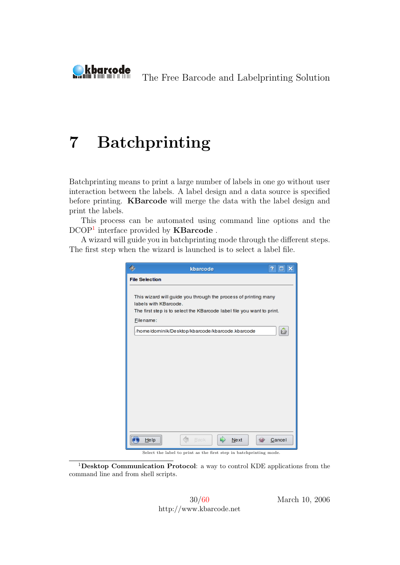<span id="page-30-0"></span>

# 7 Batchprinting

Batchprinting means to print a large number of labels in one go without user interaction between the labels. A label design and a data source is specified before printing. KBarcode will merge the data with the label design and print the labels.

This process can be automated using command line options and the DCOP<sup>[1](#page-30-1)</sup> interface provided by **KBarcode**.

A wizard will guide you in batchprinting mode through the different steps. The first step when the wizard is launched is to select a label file.

| ß<br>kbarcode                                                                                                                                                                   | 7<br>$\Box$ $\times$ |
|---------------------------------------------------------------------------------------------------------------------------------------------------------------------------------|----------------------|
| <b>File Selection</b>                                                                                                                                                           |                      |
| This wizard will guide you through the process of printing many<br>labels with KBarcode.<br>The first step is to select the KBarcode label file you want to print.<br>Filename: |                      |
| /home/dominik/Desktop/kbarcode/kbarcode.kbarcode                                                                                                                                |                      |
|                                                                                                                                                                                 |                      |
|                                                                                                                                                                                 |                      |
|                                                                                                                                                                                 |                      |
|                                                                                                                                                                                 |                      |
|                                                                                                                                                                                 |                      |
|                                                                                                                                                                                 |                      |
|                                                                                                                                                                                 |                      |
| <b>Back</b><br>Next<br>Help                                                                                                                                                     | Cancel               |

Select the label to print as the first step in batchprinting mode.

<span id="page-30-1"></span><sup>1</sup>Desktop Communication Protocol: a way to control KDE applications from the command line and from shell scripts.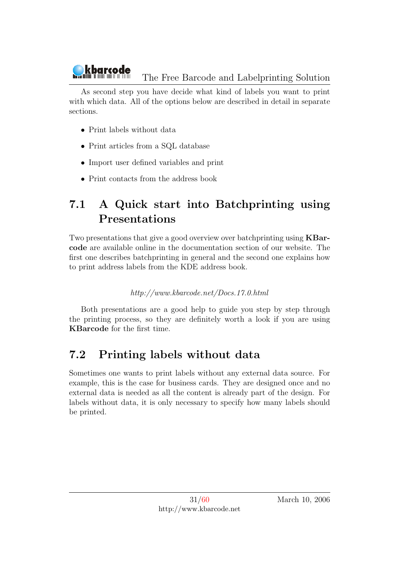As second step you have decide what kind of labels you want to print with which data. All of the options below are described in detail in separate sections.

- Print labels without data
- Print articles from a SQL database
- Import user defined variables and print
- Print contacts from the address book

## <span id="page-31-0"></span>7.1 A Quick start into Batchprinting using Presentations

Two presentations that give a good overview over batchprinting using KBarcode are available online in the documentation section of our website. The first one describes batchprinting in general and the second one explains how to print address labels from the KDE address book.

#### http://www.kbarcode.net/Docs.17.0.html

Both presentations are a good help to guide you step by step through the printing process, so they are definitely worth a look if you are using KBarcode for the first time.

## <span id="page-31-1"></span>7.2 Printing labels without data

Sometimes one wants to print labels without any external data source. For example, this is the case for business cards. They are designed once and no external data is needed as all the content is already part of the design. For labels without data, it is only necessary to specify how many labels should be printed.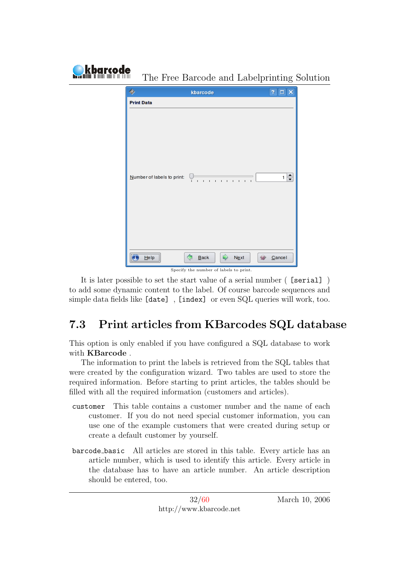| kbarcode |                            | The Free Barcode and Labelprinting Solution                       |                     |
|----------|----------------------------|-------------------------------------------------------------------|---------------------|
|          | ۰                          | kbarcode                                                          | $?$ $\Box$ $\times$ |
|          | <b>Print Data</b>          |                                                                   |                     |
|          | Number of labels to print: | $1 - 1 - 1 = 1$<br>$\mathbf{L}$<br>$\blacksquare$<br>$\mathbf{I}$ | ÷<br>1.             |
|          | He                         | ⇨<br>⇦<br>Next<br>Back                                            | Cancel              |

Specify the number of labels to print.

It is later possible to set the start value of a serial number ( [serial] ) to add some dynamic content to the label. Of course barcode sequences and simple data fields like [date] , [index] or even SQL queries will work, too.

## <span id="page-32-0"></span>7.3 Print articles from KBarcodes SQL database

This option is only enabled if you have configured a SQL database to work with KBarcode .

The information to print the labels is retrieved from the SQL tables that were created by the configuration wizard. Two tables are used to store the required information. Before starting to print articles, the tables should be filled with all the required information (customers and articles).

- customer This table contains a customer number and the name of each customer. If you do not need special customer information, you can use one of the example customers that were created during setup or create a default customer by yourself.
- barcode basic All articles are stored in this table. Every article has an article number, which is used to identify this article. Every article in the database has to have an article number. An article description should be entered, too.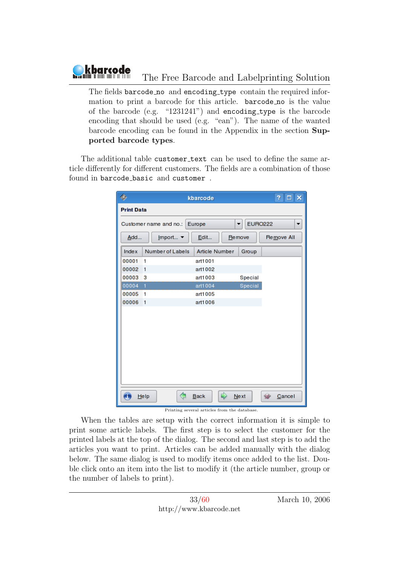The fields barcode no and encoding type contain the required information to print a barcode for this article. barcode no is the value of the barcode (e.g. "1231241") and encoding type is the barcode encoding that should be used (e.g. "ean"). The name of the wanted barcode encoding can be found in the Appendix in the section Supported barcode types.

The additional table customer\_text can be used to define the same article differently for different customers. The fields are a combination of those found in barcode basic and customer .

| ۷                 |                        | kbarcode       |                     | 7.<br>$\Box$ $\times$ |
|-------------------|------------------------|----------------|---------------------|-----------------------|
| <b>Print Data</b> |                        |                |                     |                       |
|                   | Customer name and no.: | Europe         | <b>EURO222</b><br>▼ | ▼                     |
| Add               | Import v               | Edit           | <b>Remove</b>       | Remove All            |
| Index             | Number of Labels       | Article Number | Group               |                       |
| 00001             | 1                      | art1001        |                     |                       |
| 00002             | 1                      | art1002        |                     |                       |
| 00003             | з                      | art1003        | Special             |                       |
| 00004             | 1                      | art1004        | Special             |                       |
| 00005             | 1                      | art1005        |                     |                       |
| 00006             | 1                      | art1006        |                     |                       |
|                   |                        |                |                     |                       |
|                   |                        |                |                     |                       |
|                   |                        |                |                     |                       |
|                   |                        |                |                     |                       |
|                   |                        |                |                     |                       |
|                   |                        |                |                     |                       |
|                   |                        |                |                     |                       |
|                   |                        |                |                     |                       |
|                   |                        |                |                     |                       |
|                   |                        |                |                     |                       |
|                   | Ć<br>$He$ Ip           | ₿<br>Back      | Next                | Cancel                |

#### Printing several articles from the database.

When the tables are setup with the correct information it is simple to print some article labels. The first step is to select the customer for the printed labels at the top of the dialog. The second and last step is to add the articles you want to print. Articles can be added manually with the dialog below. The same dialog is used to modify items once added to the list. Double click onto an item into the list to modify it (the article number, group or the number of labels to print).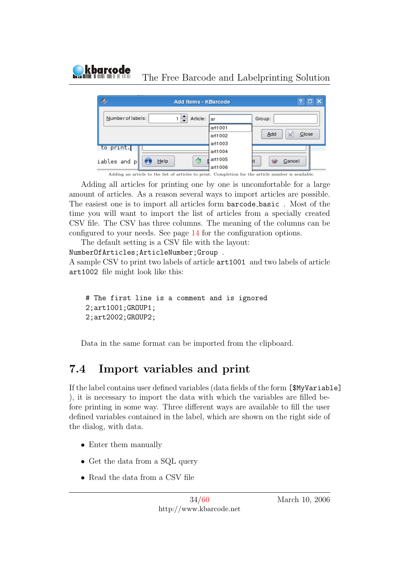

Adding all articles for printing one by one is uncomfortable for a large amount of articles. As a reason several ways to import articles are possible. The easiest one is to import all articles form barcode basic . Most of the time you will want to import the list of articles from a specially created CSV file. The CSV has three columns. The meaning of the columns can be configured to your needs. See page [14](#page-13-3) for the configuration options.

The default setting is a CSV file with the layout:

NumberOfArticles;ArticleNumber;Group . A sample CSV to print two labels of article art1001 and two labels of article art1002 file might look like this:

```
# The first line is a comment and is ignored
2;art1001;GROUP1;
2;art2002;GROUP2;
```
Data in the same format can be imported from the clipboard.

## <span id="page-34-0"></span>7.4 Import variables and print

If the label contains user defined variables (data fields of the form [\$MyVariable] ), it is necessary to import the data with which the variables are filled before printing in some way. Three different ways are available to fill the user defined variables contained in the label, which are shown on the right side of the dialog, with data.

• Enter them manually

kbarcode

- Get the data from a SQL query
- Read the data from a CSV file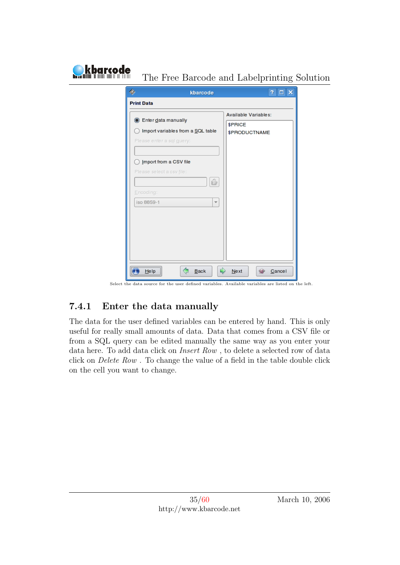| <b>Print Data</b><br>Available Variables:<br>Enter data manually<br>О<br>\$PRICE<br>Import variables from a SQL table<br><b>\$PRODUCTNAME</b><br>Please enter a sql query:<br>Import from a CSV file<br>Please select a csv file:<br>ô<br>Encoding:<br>iso 8859-1<br>$\overline{\phantom{a}}$ | ۰ | kbarcode | P |
|-----------------------------------------------------------------------------------------------------------------------------------------------------------------------------------------------------------------------------------------------------------------------------------------------|---|----------|---|
|                                                                                                                                                                                                                                                                                               |   |          |   |
|                                                                                                                                                                                                                                                                                               |   |          |   |
|                                                                                                                                                                                                                                                                                               |   |          |   |
|                                                                                                                                                                                                                                                                                               |   |          |   |

#### Select the data source for the user defined variables. Available variables are listed on the left.

## <span id="page-35-0"></span>7.4.1 Enter the data manually

The data for the user defined variables can be entered by hand. This is only useful for really small amounts of data. Data that comes from a CSV file or from a SQL query can be edited manually the same way as you enter your data here. To add data click on Insert Row , to delete a selected row of data click on Delete Row . To change the value of a field in the table double click on the cell you want to change.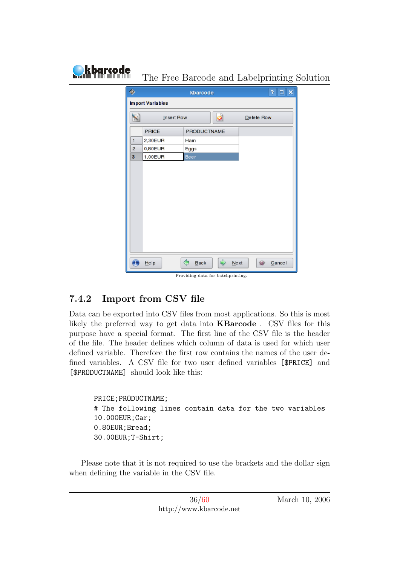| kbarcode |                     | The Free Barcode and Labelprinting Solution |                    |           |            |                       |  |
|----------|---------------------|---------------------------------------------|--------------------|-----------|------------|-----------------------|--|
|          | ٠                   |                                             | kbarcode           |           |            | $\Box$ $\times$<br>Ŧ, |  |
|          |                     | <b>Import Variables</b>                     |                    |           |            |                       |  |
|          | 5                   | Insert Row                                  |                    | $\bullet$ | Delete Row |                       |  |
|          |                     | PRICE                                       | <b>PRODUCTNAME</b> |           |            |                       |  |
|          | 1                   | 2,30EUR                                     | Ham                |           |            |                       |  |
|          | $\overline{c}$<br>3 | 0,80EUR<br>1,00EUR                          | Eggs               |           |            |                       |  |
|          |                     |                                             | Beer               |           |            |                       |  |
|          |                     |                                             |                    |           |            |                       |  |
|          |                     |                                             |                    |           |            |                       |  |
|          |                     |                                             |                    |           |            |                       |  |
|          |                     |                                             |                    |           |            |                       |  |
|          |                     |                                             |                    |           |            |                       |  |
|          |                     |                                             |                    |           |            |                       |  |
|          |                     |                                             |                    |           |            |                       |  |
|          |                     |                                             |                    |           |            |                       |  |
|          |                     |                                             |                    |           |            |                       |  |
|          |                     | $He$ Ip                                     | ⇦<br>Back          | ⇨<br>Next |            | Cancel                |  |

#### Providing data for batchprinting.

#### <span id="page-36-0"></span>7.4.2 Import from CSV file

Data can be exported into CSV files from most applications. So this is most likely the preferred way to get data into KBarcode . CSV files for this purpose have a special format. The first line of the CSV file is the header of the file. The header defines which column of data is used for which user defined variable. Therefore the first row contains the names of the user defined variables. A CSV file for two user defined variables [\$PRICE] and [\$PRODUCTNAME] should look like this:

```
PRICE;PRODUCTNAME;
# The following lines contain data for the two variables
10.000EUR;Car;
0.80EUR;Bread;
30.00EUR;T-Shirt;
```
Please note that it is not required to use the brackets and the dollar sign when defining the variable in the CSV file.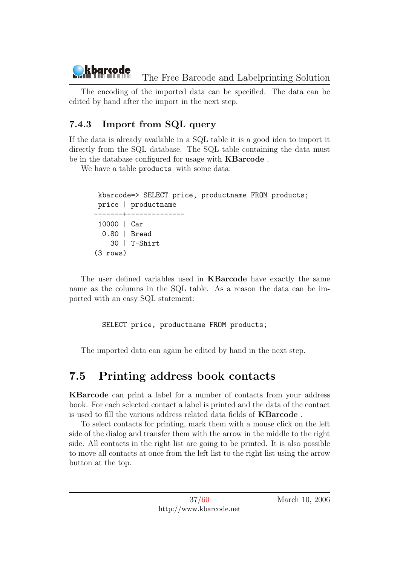The encoding of the imported data can be specified. The data can be edited by hand after the import in the next step.

### <span id="page-37-0"></span>7.4.3 Import from SQL query

If the data is already available in a SQL table it is a good idea to import it directly from the SQL database. The SQL table containing the data must be in the database configured for usage with KBarcode .

We have a table products with some data:

```
kbarcode=> SELECT price, productname FROM products;
price | productname
     -------+--------------
10000 | Car
 0.80 | Bread
    30 | T-Shirt
(3 rows)
```
The user defined variables used in KBarcode have exactly the same name as the columns in the SQL table. As a reason the data can be imported with an easy SQL statement:

SELECT price, productname FROM products;

The imported data can again be edited by hand in the next step.

## <span id="page-37-1"></span>7.5 Printing address book contacts

KBarcode can print a label for a number of contacts from your address book. For each selected contact a label is printed and the data of the contact is used to fill the various address related data fields of KBarcode .

To select contacts for printing, mark them with a mouse click on the left side of the dialog and transfer them with the arrow in the middle to the right side. All contacts in the right list are going to be printed. It is also possible to move all contacts at once from the left list to the right list using the arrow button at the top.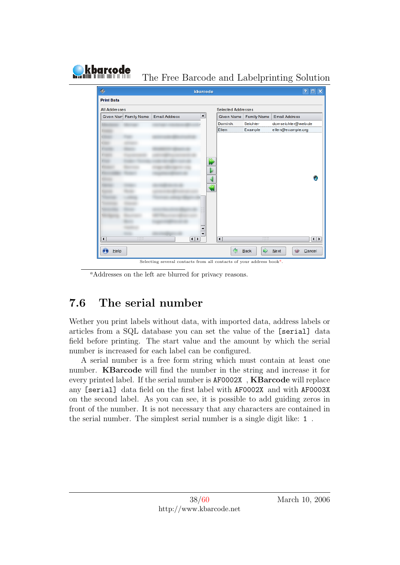#### $\overline{\mathbf{?}}$   $\Box$   $\mathbf{x}$ ◈ kbarcode **Print Data** All Addresses Selected Addresses  $\overline{\phantom{a}}$ Given Nam Family Name Email Address Given Name Family Name Email Address Dominik domse ichter@web.de Seichter Ellen Example ellen@example.org  $\sim$ Đ  $\overline{1}$  $\boxed{\blacksquare}$  $\overline{\mathbf{1}}$  $\overline{\bullet}$  $\bigcirc$  $He1p$ ♦  $Back$  $\Rightarrow$  $N$ ext  $\mathcal{D}$ Cancel

The Free Barcode and Labelprinting Solution

Selecting sever[a](#page-38-1)l contacts from all contacts of your address book<sup> $\epsilon$ </sup>

<span id="page-38-1"></span><sup>a</sup>Addresses on the left are blurred for privacy reasons.

## <span id="page-38-0"></span>7.6 The serial number

kbarcode ה הור חזור ב"מה

Wether you print labels without data, with imported data, address labels or articles from a SQL database you can set the value of the [serial] data field before printing. The start value and the amount by which the serial number is increased for each label can be configured.

A serial number is a free form string which must contain at least one number. KBarcode will find the number in the string and increase it for every printed label. If the serial number is AF0002X , KBarcode will replace any [serial] data field on the first label with AF0002X and with AF0003X on the second label. As you can see, it is possible to add guiding zeros in front of the number. It is not necessary that any characters are contained in the serial number. The simplest serial number is a single digit like: 1 .

.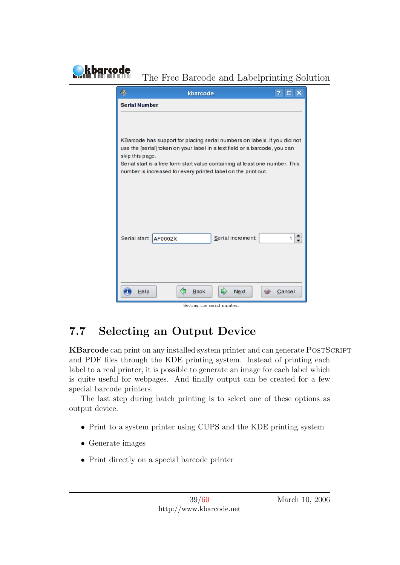| 7<br>kbarcode<br>ш                                                                              | x |
|-------------------------------------------------------------------------------------------------|---|
| <b>Serial Number</b>                                                                            |   |
|                                                                                                 |   |
|                                                                                                 |   |
| KBarcode has support for placing serial numbers on labels. If you did not                       |   |
| use the [serial] token on your label in a text field or a barcode, you can                      |   |
| skip this page.<br>Serial start is a free form start value containing at least one number. This |   |
| number is increased for every printed label on the print out.                                   |   |
|                                                                                                 |   |
|                                                                                                 |   |
|                                                                                                 |   |
|                                                                                                 |   |
|                                                                                                 |   |
| Serial increment:<br>Serial start: AF0002X<br>1.                                                |   |
|                                                                                                 |   |
|                                                                                                 |   |
|                                                                                                 |   |
| <b>Back</b><br><b>Next</b><br>$He$ Ip<br>Cancel                                                 |   |
|                                                                                                 |   |

## <span id="page-39-0"></span>7.7 Selecting an Output Device

KBarcode can print on any installed system printer and can generate POSTSCRIPT and PDF files through the KDE printing system. Instead of printing each label to a real printer, it is possible to generate an image for each label which is quite useful for webpages. And finally output can be created for a few special barcode printers.

The last step during batch printing is to select one of these options as output device.

- Print to a system printer using CUPS and the KDE printing system
- Generate images

**kbarcode** 

• Print directly on a special barcode printer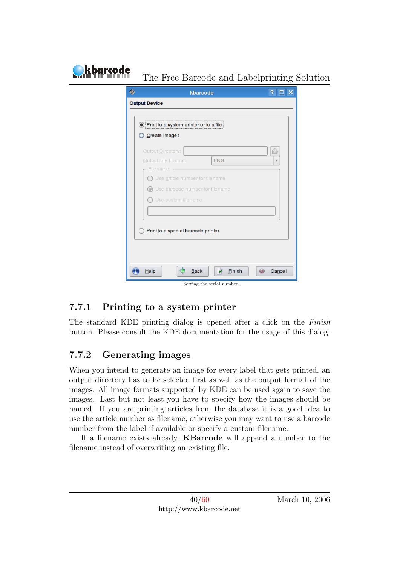| <b>Output Device</b><br>. Print to a system printer or to a file<br>Create images<br>ô<br>Output Directory:<br>Output File Format:<br><b>PNG</b><br>Filename: -<br>$\bigcap$ Use article number for filename<br>Use barcode number for filename<br>$($ a)<br>$\bigcap$ Use custom filename:<br>Print to a special barcode printer |  | Ŧ.<br>$\Box$ $\times$ |
|-----------------------------------------------------------------------------------------------------------------------------------------------------------------------------------------------------------------------------------------------------------------------------------------------------------------------------------|--|-----------------------|
|                                                                                                                                                                                                                                                                                                                                   |  |                       |
|                                                                                                                                                                                                                                                                                                                                   |  |                       |
|                                                                                                                                                                                                                                                                                                                                   |  |                       |
|                                                                                                                                                                                                                                                                                                                                   |  |                       |
|                                                                                                                                                                                                                                                                                                                                   |  |                       |
|                                                                                                                                                                                                                                                                                                                                   |  |                       |
|                                                                                                                                                                                                                                                                                                                                   |  |                       |
|                                                                                                                                                                                                                                                                                                                                   |  |                       |
|                                                                                                                                                                                                                                                                                                                                   |  |                       |
|                                                                                                                                                                                                                                                                                                                                   |  |                       |
|                                                                                                                                                                                                                                                                                                                                   |  |                       |
|                                                                                                                                                                                                                                                                                                                                   |  |                       |
|                                                                                                                                                                                                                                                                                                                                   |  |                       |
|                                                                                                                                                                                                                                                                                                                                   |  |                       |
|                                                                                                                                                                                                                                                                                                                                   |  |                       |
|                                                                                                                                                                                                                                                                                                                                   |  | kbarcode              |

## <span id="page-40-0"></span>7.7.1 Printing to a system printer

The standard KDE printing dialog is opened after a click on the Finish button. Please consult the KDE documentation for the usage of this dialog.

### <span id="page-40-1"></span>7.7.2 Generating images

When you intend to generate an image for every label that gets printed, an output directory has to be selected first as well as the output format of the images. All image formats supported by KDE can be used again to save the images. Last but not least you have to specify how the images should be named. If you are printing articles from the database it is a good idea to use the article number as filename, otherwise you may want to use a barcode number from the label if available or specify a custom filename.

If a filename exists already, KBarcode will append a number to the filename instead of overwriting an existing file.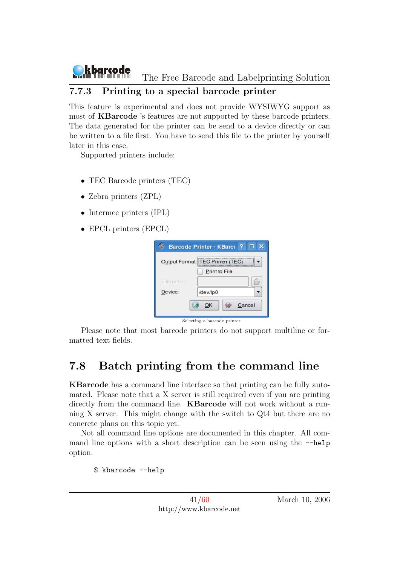

#### <span id="page-41-0"></span>7.7.3 Printing to a special barcode printer

This feature is experimental and does not provide WYSIWYG support as most of KBarcode 's features are not supported by these barcode printers. The data generated for the printer can be send to a device directly or can be written to a file first. You have to send this file to the printer by yourself later in this case.

Supported printers include:

- TEC Barcode printers (TEC)
- Zebra printers (ZPL)
- Intermec printers (IPL)
- EPCL printers (EPCL)

|              | Barcode Printer - KBarco ?<br>o<br>× |  |  |  |  |
|--------------|--------------------------------------|--|--|--|--|
|              | Output Format: TEC Printer (TEC)     |  |  |  |  |
|              | Print to File                        |  |  |  |  |
| Filename:    |                                      |  |  |  |  |
| Device:      | /dev/lp0                             |  |  |  |  |
| OK<br>Cancel |                                      |  |  |  |  |
|              | Selecting a barcode printer          |  |  |  |  |

Please note that most barcode printers do not support multiline or formatted text fields.

## <span id="page-41-1"></span>7.8 Batch printing from the command line

KBarcode has a command line interface so that printing can be fully automated. Please note that a X server is still required even if you are printing directly from the command line. **KBarcode** will not work without a running X server. This might change with the switch to Qt4 but there are no concrete plans on this topic yet.

Not all command line options are documented in this chapter. All command line options with a short description can be seen using the  $-\text{help}$ option.

\$ kbarcode --help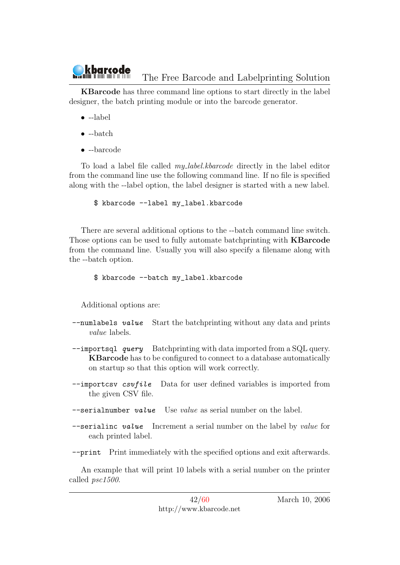KBarcode has three command line options to start directly in the label designer, the batch printing module or into the barcode generator.

- --label
- --batch
- --barcode

To load a label file called my label.kbarcode directly in the label editor from the command line use the following command line. If no file is specified along with the --label option, the label designer is started with a new label.

\$ kbarcode --label my\_label.kbarcode

There are several additional options to the --batch command line switch. Those options can be used to fully automate batchprinting with KBarcode from the command line. Usually you will also specify a filename along with the --batch option.

#### \$ kbarcode --batch my\_label.kbarcode

Additional options are:

- $--$ numlabels value Start the batchprinting without any data and prints value labels.
- --importsql query Batchprinting with data imported from a SQL query. KBarcode has to be configured to connect to a database automatically on startup so that this option will work correctly.
- --importcsv csufile Data for user defined variables is imported from the given CSV file.
- $-$ serialnumber *value* Use *value* as serial number on the label.
- --serialinc value Increment a serial number on the label by value for each printed label.

--print Print immediately with the specified options and exit afterwards.

An example that will print 10 labels with a serial number on the printer called psc1500.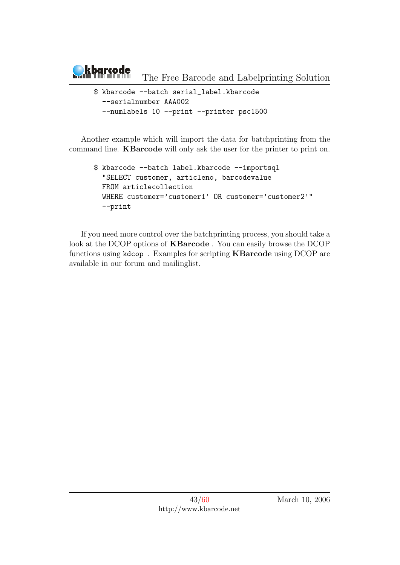

\$ kbarcode --batch serial\_label.kbarcode --serialnumber AAA002 --numlabels 10 --print --printer psc1500

Another example which will import the data for batchprinting from the command line. KBarcode will only ask the user for the printer to print on.

\$ kbarcode --batch label.kbarcode --importsql "SELECT customer, articleno, barcodevalue FROM articlecollection WHERE customer='customer1' OR customer='customer2'" --print

If you need more control over the batchprinting process, you should take a look at the DCOP options of KBarcode . You can easily browse the DCOP functions using kdcop . Examples for scripting KBarcode using DCOP are available in our forum and mailinglist.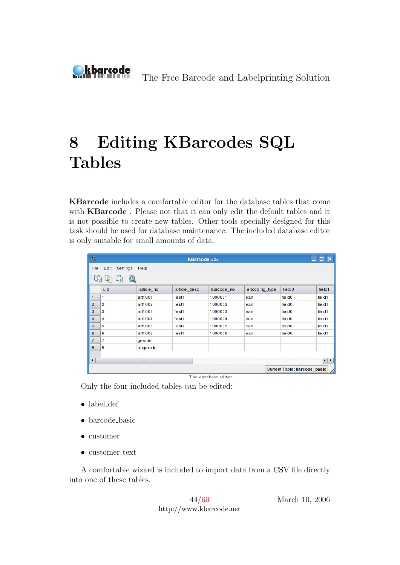<span id="page-44-0"></span>

# 8 Editing KBarcodes SQL Tables

KBarcode includes a comfortable editor for the database tables that come with **KBarcode**. Please not that it can only edit the default tables and it is not possible to create new tables. Other tools specially designed for this task should be used for database maintenance. The included database editor is only suitable for small amounts of data.

| $\frac{d\mathbf{x}}{d\mathbf{x}}$       | $\Box$ $\Box$ $\times$<br><b>KBarcode &lt;2&gt;</b> |            |              |            |               |                    |        |  |  |
|-----------------------------------------|-----------------------------------------------------|------------|--------------|------------|---------------|--------------------|--------|--|--|
| File                                    | Edit<br>Settings                                    | He         |              |            |               |                    |        |  |  |
| C                                       | U.<br>Q<br>₽                                        |            |              |            |               |                    |        |  |  |
|                                         | uid                                                 | article_no | article_desc | barcode no | encoding_type | field <sub>0</sub> | field1 |  |  |
| 1                                       | 1                                                   | art1001    | Test1        | 1000001    | ean           | field <sub>0</sub> | field1 |  |  |
| $\overline{2}$                          | 2                                                   | art1002    | Test1        | 1000002    | ean           | field0             | field1 |  |  |
| 3                                       | з                                                   | art1003    | Test1        | 1000003    | ean           | field <sub>0</sub> | field1 |  |  |
| 4                                       | 4                                                   | art1004    | Test1        | 1000004    | ean           | field0             | field1 |  |  |
| 5                                       | 5                                                   | art1005    | Test1        | 1000005    | ean           | field <sub>0</sub> | field1 |  |  |
| 6                                       | 6                                                   | art1006    | Test1        | 1000006    | ean           | field <sub>0</sub> | field1 |  |  |
| $\overline{7}$                          | 7                                                   | gerade     |              |            |               |                    |        |  |  |
| 8                                       | 8                                                   | ungerade   |              |            |               |                    |        |  |  |
| $\frac{1}{2}$                           |                                                     |            |              |            |               |                    |        |  |  |
| $\frac{1}{1}$<br>$\left  \cdot \right $ |                                                     |            |              |            |               |                    |        |  |  |
|                                         | Current Table: barcode basic<br>M                   |            |              |            |               |                    |        |  |  |
|                                         | The database editor.                                |            |              |            |               |                    |        |  |  |

Only the four included tables can be edited:

- label def
- barcode basic
- customer
- $\bullet$  customer\_text

A comfortable wizard is included to import data from a CSV file directly into one of these tables.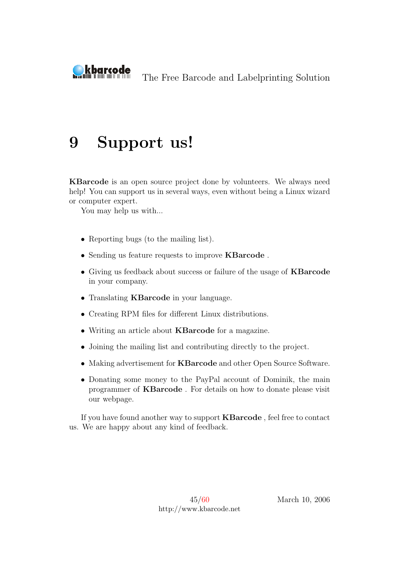<span id="page-45-0"></span>

# 9 Support us!

KBarcode is an open source project done by volunteers. We always need help! You can support us in several ways, even without being a Linux wizard or computer expert.

You may help us with...

- Reporting bugs (to the mailing list).
- Sending us feature requests to improve KBarcode .
- Giving us feedback about success or failure of the usage of KBarcode in your company.
- Translating KBarcode in your language.
- Creating RPM files for different Linux distributions.
- Writing an article about KBarcode for a magazine.
- Joining the mailing list and contributing directly to the project.
- Making advertisement for KBarcode and other Open Source Software.
- Donating some money to the PayPal account of Dominik, the main programmer of KBarcode . For details on how to donate please visit our webpage.

If you have found another way to support KBarcode , feel free to contact us. We are happy about any kind of feedback.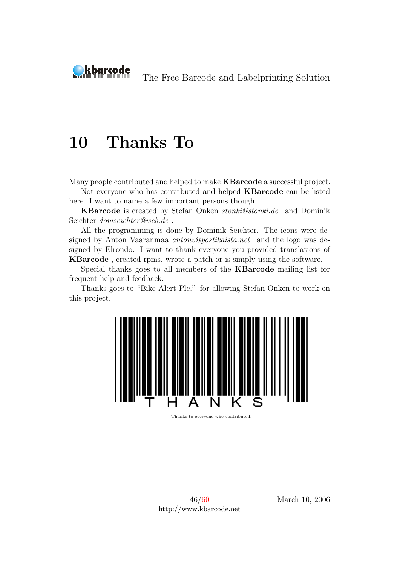<span id="page-46-0"></span>

# 10 Thanks To

Many people contributed and helped to make KBarcode a successful project.

Not everyone who has contributed and helped KBarcode can be listed here. I want to name a few important persons though.

KBarcode is created by Stefan Onken stonki@stonki.de and Dominik Seichter domseichter@web.de .

All the programming is done by Dominik Seichter. The icons were designed by Anton Vaaranmaa antonv@postikaista.net and the logo was designed by Elrondo. I want to thank everyone you provided translations of KBarcode , created rpms, wrote a patch or is simply using the software.

Special thanks goes to all members of the KBarcode mailing list for frequent help and feedback.

Thanks goes to "Bike Alert Plc." for allowing Stefan Onken to work on this project.



Thanks to everyone who contributed.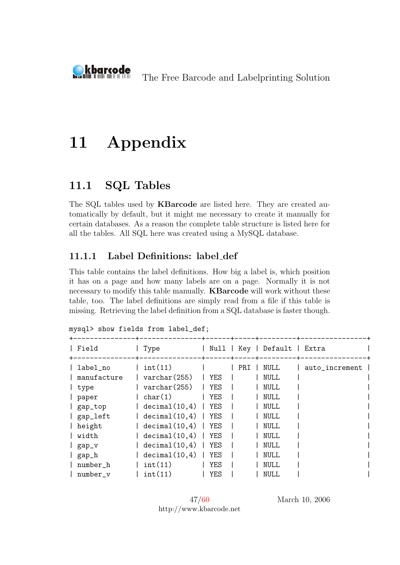<span id="page-47-0"></span>

# 11 Appendix

## <span id="page-47-1"></span>11.1 SQL Tables

The SQL tables used by KBarcode are listed here. They are created automatically by default, but it might me necessary to create it manually for certain databases. As a reason the complete table structure is listed here for all the tables. All SQL here was created using a MySQL database.

#### <span id="page-47-2"></span>11.1.1 Label Definitions: label def

This table contains the label definitions. How big a label is, which position it has on a page and how many labels are on a page. Normally it is not necessary to modify this table manually. KBarcode will work without these table, too. The label definitions are simply read from a file if this table is missing. Retrieving the label definition from a SQL database is faster though.

| Field                                                                              | Type                                                                                                                                     |                                               | Null   Key | Default   Extra                                                                                                      |                |
|------------------------------------------------------------------------------------|------------------------------------------------------------------------------------------------------------------------------------------|-----------------------------------------------|------------|----------------------------------------------------------------------------------------------------------------------|----------------|
| label_no<br>manufacture<br>type<br>paper<br>gap_top<br>gap_left<br>height<br>width | int(11)<br>$\text{varchar}(255)$<br>$\text{varchar}(255)$<br>char(1)<br>decimal(10,4)<br>decimal(10,4)<br>decimal(10,4)<br>decimal(10,4) | YES<br>YES<br>YES<br>YES<br>YES<br>YES<br>YES | PRI        | <b>NULL</b><br><b>NULL</b><br><b>NULL</b><br><b>NULL</b><br><b>NULL</b><br><b>NULL</b><br><b>NULL</b><br><b>NULL</b> | auto_increment |
| gap_v                                                                              | decimal(10,4)                                                                                                                            | YES                                           |            | <b>NULL</b>                                                                                                          |                |
| gap_h                                                                              | decimal(10,4)                                                                                                                            | YES                                           |            | <b>NULL</b>                                                                                                          |                |
| number_h                                                                           | int(11)                                                                                                                                  | <b>YES</b>                                    |            | <b>NULL</b>                                                                                                          |                |
| number v                                                                           | int(11)                                                                                                                                  | <b>YES</b>                                    |            | <b>NULL</b>                                                                                                          |                |

mysql> show fields from label\_def;

47[/60](#page-60-0) http://www.kbarcode.net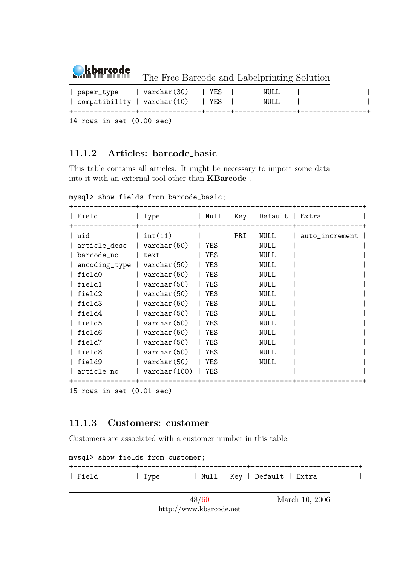

| paper_type   varchar(30)   YES<br>  compatibility   varchar $(10)$   YES |  | NULL<br>NULL |  |
|--------------------------------------------------------------------------|--|--------------|--|
|                                                                          |  |              |  |

14 rows in set (0.00 sec)

#### <span id="page-48-0"></span>11.1.2 Articles: barcode basic

This table contains all articles. It might be necessary to import some data into it with an external tool other than KBarcode .

mysql> show fields from barcode\_basic;

| Field                                                                                                            | Type                                                                                                                                                                                    | Null                                                        | Key | Default                                                                                                                                     | Extra          |
|------------------------------------------------------------------------------------------------------------------|-----------------------------------------------------------------------------------------------------------------------------------------------------------------------------------------|-------------------------------------------------------------|-----|---------------------------------------------------------------------------------------------------------------------------------------------|----------------|
| l uid<br>article_desc<br>barcode_no<br>encoding_type<br>field0<br>field1<br>field2<br>field3<br>field4<br>field5 | int(11)<br>$\text{varchar}(50)$<br>text<br>$\text{varchar}(50)$<br>$\text{varchar}(50)$<br>varchar (50)<br>varchar (50)<br>$\text{varchar}(50)$<br>varchar (50)<br>$\text{varchar}(50)$ | YES<br>YES<br>YES<br>YES<br>YES<br>YES<br>YES<br>YES<br>YES | PRI | NULL<br><b>NULL</b><br><b>NULL</b><br><b>NULL</b><br><b>NULL</b><br><b>NULL</b><br><b>NULL</b><br><b>NULL</b><br><b>NULL</b><br><b>NULL</b> | auto_increment |
| field6                                                                                                           | $\text{varchar}(50)$                                                                                                                                                                    | YES                                                         |     | <b>NULL</b>                                                                                                                                 |                |
| field7                                                                                                           | varchar (50)                                                                                                                                                                            | YES                                                         |     | <b>NULL</b>                                                                                                                                 |                |
| field8                                                                                                           | varchar (50)                                                                                                                                                                            | YES                                                         |     | <b>NULL</b>                                                                                                                                 |                |
| field9                                                                                                           | $\text{varchar}(50)$                                                                                                                                                                    | YES                                                         |     | NULL                                                                                                                                        |                |
| article_no                                                                                                       | $\text{varchar}(100)$                                                                                                                                                                   | <b>YES</b>                                                  |     |                                                                                                                                             |                |
|                                                                                                                  |                                                                                                                                                                                         |                                                             |     |                                                                                                                                             |                |

```
15 rows in set (0.01 sec)
```
#### <span id="page-48-1"></span>11.1.3 Customers: customer

Customers are associated with a customer number in this table.

mysql> show fields from customer;

+---------------+-------------+------+-----+---------+----------------+ | Field | Type | Null | Key | Default | Extra |

> 48[/60](#page-60-0) http://www.kbarcode.net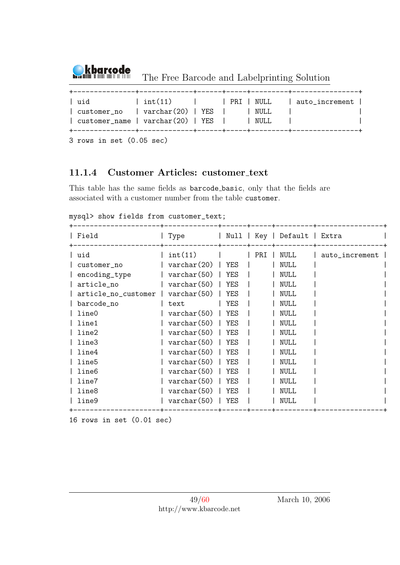

The Free Barcode and Labelprinting Solution

|  | l uid<br>$\vert$ customer no $\vert$ varchar(20) $\vert$ YES $\vert$ $\vert$ NULL<br>$\vert$ customer name $\vert$ varchar(20) $\vert$ YES $\vert$ $\vert$ NULL |  |  |  |  | $\int$ int(11) $\int$ PRI NULL $\int$ auto_increment $\int$ |
|--|-----------------------------------------------------------------------------------------------------------------------------------------------------------------|--|--|--|--|-------------------------------------------------------------|
|--|-----------------------------------------------------------------------------------------------------------------------------------------------------------------|--|--|--|--|-------------------------------------------------------------|

3 rows in set (0.05 sec)

#### <span id="page-49-0"></span>11.1.4 Customer Articles: customer text

This table has the same fields as barcode basic, only that the fields are associated with a customer number from the table customer.

mysql> show fields from customer\_text;

| Field               | Type                 | Null       | Key | Default     | Extra          |
|---------------------|----------------------|------------|-----|-------------|----------------|
| ∣ uid               | int(11)              |            | PRI | NULL        | auto_increment |
| customer_no         | $\text{varchar}(20)$ | YES        |     | NULL        |                |
| encoding_type       | $\text{varchar}(50)$ | YES        |     | NULL        |                |
| article_no          | $\text{varchar}(50)$ | <b>YES</b> |     | NULL        |                |
| article_no_customer | $\text{varchar}(50)$ | YES        |     | <b>NULL</b> |                |
| barcode_no          | text                 | <b>YES</b> |     | NULL        |                |
| line0               | $\text{varchar}(50)$ | YES        |     | NULL        |                |
| line1               | $\text{varchar}(50)$ | <b>YES</b> |     | NULL        |                |
| line2               | $\text{varchar}(50)$ | YES        |     | <b>NULL</b> |                |
| line3               | $\text{varchar}(50)$ | YES        |     | <b>NULL</b> |                |
| line4               | $\text{varchar}(50)$ | YES        |     | NULL        |                |
| line5               | $\text{varchar}(50)$ | <b>YES</b> |     | NULL        |                |
| line6               | $\text{varchar}(50)$ | <b>YES</b> |     | <b>NULL</b> |                |
| line7               | $\text{varchar}(50)$ | YES        |     | NULL        |                |
| line8               | $\text{varchar}(50)$ | <b>YES</b> |     | <b>NULL</b> |                |
| line9               | $\text{varchar}(50)$ | <b>YES</b> |     | NULL        |                |
|                     |                      |            |     |             |                |

16 rows in set (0.01 sec)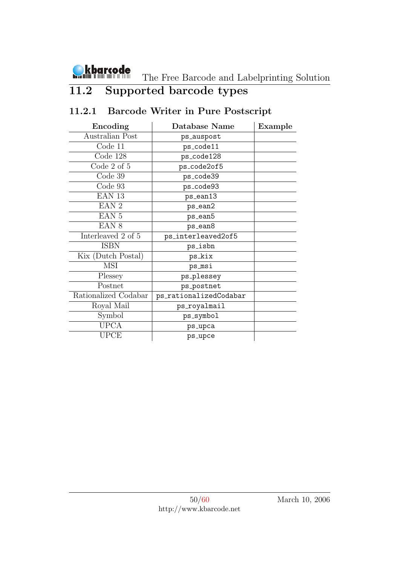

## <span id="page-50-0"></span>11.2 Supported barcode types

## <span id="page-50-1"></span>11.2.1 Barcode Writer in Pure Postscript

| Encoding             | Database Name          | Example |
|----------------------|------------------------|---------|
| Australian Post      | ps_auspost             |         |
| Code 11              | ps_code11              |         |
| Code 128             | ps_code128             |         |
| Code 2 of 5          | ps_code2of5            |         |
| Code 39              | ps_code39              |         |
| Code 93              | ps_code93              |         |
| EAN <sub>13</sub>    | $ps_ean13$             |         |
| EAN <sub>2</sub>     | ps_ean2                |         |
| EAN <sub>5</sub>     | ps_ean5                |         |
| EAN <sub>8</sub>     | ps_ean8                |         |
| Interleaved 2 of 5   | ps_interleaved2of5     |         |
| <b>ISBN</b>          | ps_isbn                |         |
| Kix (Dutch Postal)   | ps_kix                 |         |
| <b>MSI</b>           | ps_msi                 |         |
| Plessey              | ps_plessey             |         |
| Postnet              | ps_postnet             |         |
| Rationalized Codabar | ps_rationalizedCodabar |         |
| Royal Mail           | ps_royalmail           |         |
| Symbol               | ps_symbol              |         |
| <b>UPCA</b>          | ps_upca                |         |
| UPCE                 | ps_upce                |         |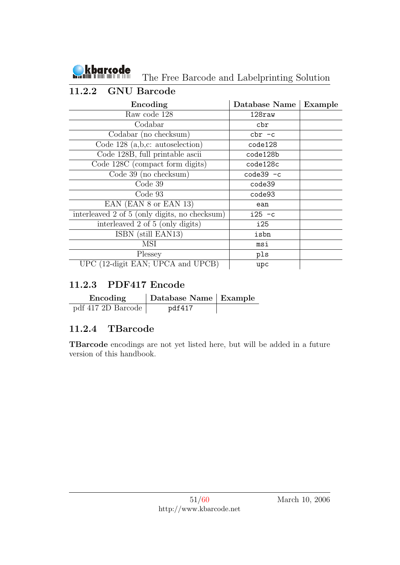

The Free Barcode and Labelprinting Solution

### <span id="page-51-0"></span>11.2.2 GNU Barcode

| Encoding                                      | Database Name | Example |
|-----------------------------------------------|---------------|---------|
| Raw code 128                                  | 128raw        |         |
| Codabar                                       | cbr           |         |
| Codabar (no checksum)                         | $chr - c$     |         |
| Code $128$ (a,b,c: autoselection)             | code128       |         |
| Code 128B, full printable ascii               | code128b      |         |
| Code 128C (compact form digits)               | code128c      |         |
| Code $39$ (no checksum)                       | $code39 - c$  |         |
| Code 39                                       | code39        |         |
| Code 93                                       | code93        |         |
| EAN (EAN 8 or EAN 13)                         | ean           |         |
| interleaved 2 of 5 (only digits, no checksum) | $i25 - c$     |         |
| interleaved 2 of 5 (only digits)              | i25           |         |
| ISBN (still EAN13)                            | isbn          |         |
| MSI                                           | msi           |         |
| Plessey                                       | pls           |         |
| UPC (12-digit EAN; UPCA and UPCB)             | upc           |         |

### <span id="page-51-1"></span>11.2.3 PDF417 Encode

| Encoding           | Database Name Example |  |
|--------------------|-----------------------|--|
| pdf 417 2D Barcode | pdf417                |  |

### <span id="page-51-2"></span>11.2.4 TBarcode

TBarcode encodings are not yet listed here, but will be added in a future version of this handbook.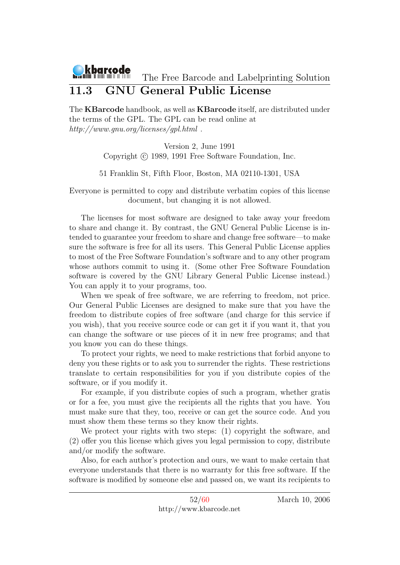### <span id="page-52-0"></span>11.3 GNU General Public License

The KBarcode handbook, as well as KBarcode itself, are distributed under the terms of the GPL. The GPL can be read online at http://www.gnu.org/licenses/gpl.html .

> Version 2, June 1991 Copyright (c) 1989, 1991 Free Software Foundation. Inc.

51 Franklin St, Fifth Floor, Boston, MA 02110-1301, USA

Everyone is permitted to copy and distribute verbatim copies of this license document, but changing it is not allowed.

The licenses for most software are designed to take away your freedom to share and change it. By contrast, the GNU General Public License is intended to guarantee your freedom to share and change free software—to make sure the software is free for all its users. This General Public License applies to most of the Free Software Foundation's software and to any other program whose authors commit to using it. (Some other Free Software Foundation software is covered by the GNU Library General Public License instead.) You can apply it to your programs, too.

When we speak of free software, we are referring to freedom, not price. Our General Public Licenses are designed to make sure that you have the freedom to distribute copies of free software (and charge for this service if you wish), that you receive source code or can get it if you want it, that you can change the software or use pieces of it in new free programs; and that you know you can do these things.

To protect your rights, we need to make restrictions that forbid anyone to deny you these rights or to ask you to surrender the rights. These restrictions translate to certain responsibilities for you if you distribute copies of the software, or if you modify it.

For example, if you distribute copies of such a program, whether gratis or for a fee, you must give the recipients all the rights that you have. You must make sure that they, too, receive or can get the source code. And you must show them these terms so they know their rights.

We protect your rights with two steps: (1) copyright the software, and (2) offer you this license which gives you legal permission to copy, distribute and/or modify the software.

Also, for each author's protection and ours, we want to make certain that everyone understands that there is no warranty for this free software. If the software is modified by someone else and passed on, we want its recipients to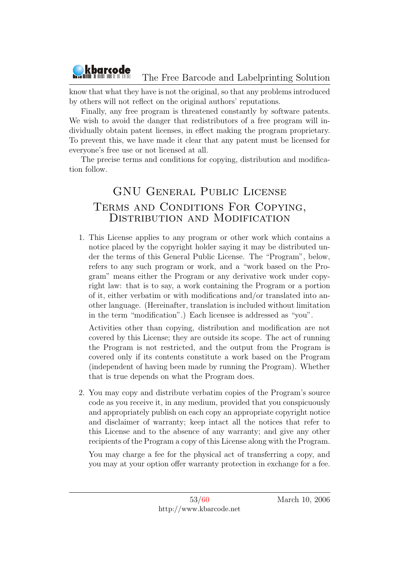know that what they have is not the original, so that any problems introduced by others will not reflect on the original authors' reputations.

kbarcode

Finally, any free program is threatened constantly by software patents. We wish to avoid the danger that redistributors of a free program will individually obtain patent licenses, in effect making the program proprietary. To prevent this, we have made it clear that any patent must be licensed for everyone's free use or not licensed at all.

The precise terms and conditions for copying, distribution and modification follow.

## GNU General Public License Terms and Conditions For Copying, DISTRIBUTION AND MODIFICATION

1. This License applies to any program or other work which contains a notice placed by the copyright holder saying it may be distributed under the terms of this General Public License. The "Program", below, refers to any such program or work, and a "work based on the Program" means either the Program or any derivative work under copyright law: that is to say, a work containing the Program or a portion of it, either verbatim or with modifications and/or translated into another language. (Hereinafter, translation is included without limitation in the term "modification".) Each licensee is addressed as "you".

Activities other than copying, distribution and modification are not covered by this License; they are outside its scope. The act of running the Program is not restricted, and the output from the Program is covered only if its contents constitute a work based on the Program (independent of having been made by running the Program). Whether that is true depends on what the Program does.

2. You may copy and distribute verbatim copies of the Program's source code as you receive it, in any medium, provided that you conspicuously and appropriately publish on each copy an appropriate copyright notice and disclaimer of warranty; keep intact all the notices that refer to this License and to the absence of any warranty; and give any other recipients of the Program a copy of this License along with the Program.

You may charge a fee for the physical act of transferring a copy, and you may at your option offer warranty protection in exchange for a fee.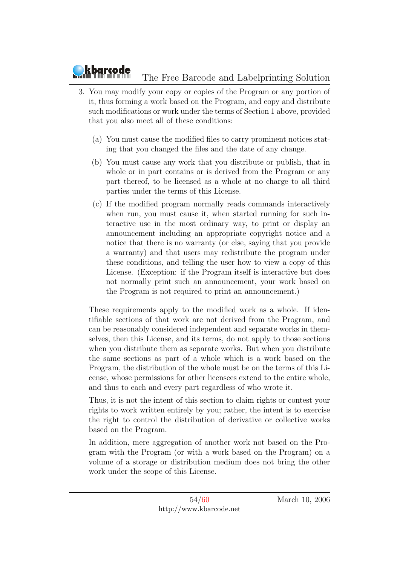- 3. You may modify your copy or copies of the Program or any portion of it, thus forming a work based on the Program, and copy and distribute such modifications or work under the terms of Section 1 above, provided that you also meet all of these conditions:
	- (a) You must cause the modified files to carry prominent notices stating that you changed the files and the date of any change.
	- (b) You must cause any work that you distribute or publish, that in whole or in part contains or is derived from the Program or any part thereof, to be licensed as a whole at no charge to all third parties under the terms of this License.
	- (c) If the modified program normally reads commands interactively when run, you must cause it, when started running for such interactive use in the most ordinary way, to print or display an announcement including an appropriate copyright notice and a notice that there is no warranty (or else, saying that you provide a warranty) and that users may redistribute the program under these conditions, and telling the user how to view a copy of this License. (Exception: if the Program itself is interactive but does not normally print such an announcement, your work based on the Program is not required to print an announcement.)

These requirements apply to the modified work as a whole. If identifiable sections of that work are not derived from the Program, and can be reasonably considered independent and separate works in themselves, then this License, and its terms, do not apply to those sections when you distribute them as separate works. But when you distribute the same sections as part of a whole which is a work based on the Program, the distribution of the whole must be on the terms of this License, whose permissions for other licensees extend to the entire whole, and thus to each and every part regardless of who wrote it.

Thus, it is not the intent of this section to claim rights or contest your rights to work written entirely by you; rather, the intent is to exercise the right to control the distribution of derivative or collective works based on the Program.

In addition, mere aggregation of another work not based on the Program with the Program (or with a work based on the Program) on a volume of a storage or distribution medium does not bring the other work under the scope of this License.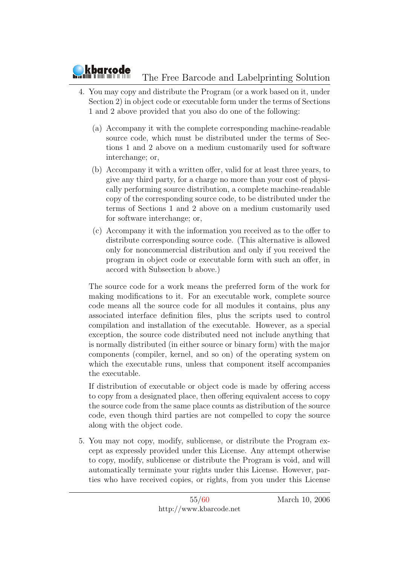

- 4. You may copy and distribute the Program (or a work based on it, under Section 2) in object code or executable form under the terms of Sections 1 and 2 above provided that you also do one of the following:
	- (a) Accompany it with the complete corresponding machine-readable source code, which must be distributed under the terms of Sections 1 and 2 above on a medium customarily used for software interchange; or,
	- (b) Accompany it with a written offer, valid for at least three years, to give any third party, for a charge no more than your cost of physically performing source distribution, a complete machine-readable copy of the corresponding source code, to be distributed under the terms of Sections 1 and 2 above on a medium customarily used for software interchange; or,
	- (c) Accompany it with the information you received as to the offer to distribute corresponding source code. (This alternative is allowed only for noncommercial distribution and only if you received the program in object code or executable form with such an offer, in accord with Subsection b above.)

The source code for a work means the preferred form of the work for making modifications to it. For an executable work, complete source code means all the source code for all modules it contains, plus any associated interface definition files, plus the scripts used to control compilation and installation of the executable. However, as a special exception, the source code distributed need not include anything that is normally distributed (in either source or binary form) with the major components (compiler, kernel, and so on) of the operating system on which the executable runs, unless that component itself accompanies the executable.

If distribution of executable or object code is made by offering access to copy from a designated place, then offering equivalent access to copy the source code from the same place counts as distribution of the source code, even though third parties are not compelled to copy the source along with the object code.

5. You may not copy, modify, sublicense, or distribute the Program except as expressly provided under this License. Any attempt otherwise to copy, modify, sublicense or distribute the Program is void, and will automatically terminate your rights under this License. However, parties who have received copies, or rights, from you under this License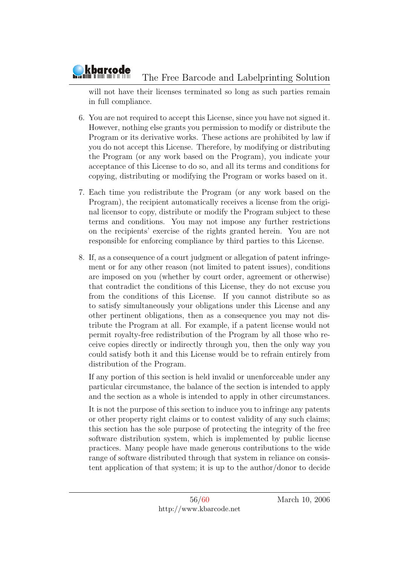will not have their licenses terminated so long as such parties remain in full compliance.

- 6. You are not required to accept this License, since you have not signed it. However, nothing else grants you permission to modify or distribute the Program or its derivative works. These actions are prohibited by law if you do not accept this License. Therefore, by modifying or distributing the Program (or any work based on the Program), you indicate your acceptance of this License to do so, and all its terms and conditions for copying, distributing or modifying the Program or works based on it.
- 7. Each time you redistribute the Program (or any work based on the Program), the recipient automatically receives a license from the original licensor to copy, distribute or modify the Program subject to these terms and conditions. You may not impose any further restrictions on the recipients' exercise of the rights granted herein. You are not responsible for enforcing compliance by third parties to this License.
- 8. If, as a consequence of a court judgment or allegation of patent infringement or for any other reason (not limited to patent issues), conditions are imposed on you (whether by court order, agreement or otherwise) that contradict the conditions of this License, they do not excuse you from the conditions of this License. If you cannot distribute so as to satisfy simultaneously your obligations under this License and any other pertinent obligations, then as a consequence you may not distribute the Program at all. For example, if a patent license would not permit royalty-free redistribution of the Program by all those who receive copies directly or indirectly through you, then the only way you could satisfy both it and this License would be to refrain entirely from distribution of the Program.

If any portion of this section is held invalid or unenforceable under any particular circumstance, the balance of the section is intended to apply and the section as a whole is intended to apply in other circumstances.

It is not the purpose of this section to induce you to infringe any patents or other property right claims or to contest validity of any such claims; this section has the sole purpose of protecting the integrity of the free software distribution system, which is implemented by public license practices. Many people have made generous contributions to the wide range of software distributed through that system in reliance on consistent application of that system; it is up to the author/donor to decide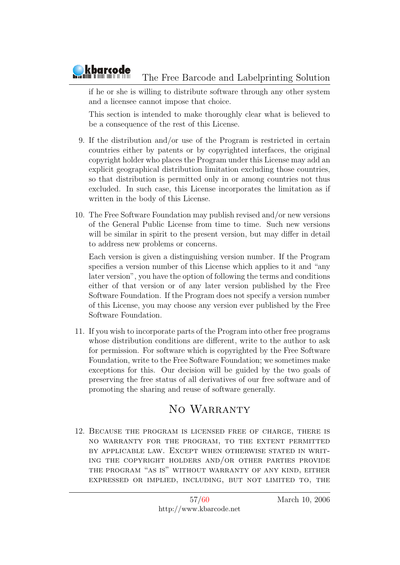if he or she is willing to distribute software through any other system and a licensee cannot impose that choice.

This section is intended to make thoroughly clear what is believed to be a consequence of the rest of this License.

- 9. If the distribution and/or use of the Program is restricted in certain countries either by patents or by copyrighted interfaces, the original copyright holder who places the Program under this License may add an explicit geographical distribution limitation excluding those countries, so that distribution is permitted only in or among countries not thus excluded. In such case, this License incorporates the limitation as if written in the body of this License.
- 10. The Free Software Foundation may publish revised and/or new versions of the General Public License from time to time. Such new versions will be similar in spirit to the present version, but may differ in detail to address new problems or concerns.

Each version is given a distinguishing version number. If the Program specifies a version number of this License which applies to it and "any later version", you have the option of following the terms and conditions either of that version or of any later version published by the Free Software Foundation. If the Program does not specify a version number of this License, you may choose any version ever published by the Free Software Foundation.

11. If you wish to incorporate parts of the Program into other free programs whose distribution conditions are different, write to the author to ask for permission. For software which is copyrighted by the Free Software Foundation, write to the Free Software Foundation; we sometimes make exceptions for this. Our decision will be guided by the two goals of preserving the free status of all derivatives of our free software and of promoting the sharing and reuse of software generally.

## NO WARRANTY

12. Because the program is licensed free of charge, there is no warranty for the program, to the extent permitted by applicable law. Except when otherwise stated in writing the copyright holders and/or other parties provide the program "as is" without warranty of any kind, either expressed or implied, including, but not limited to, the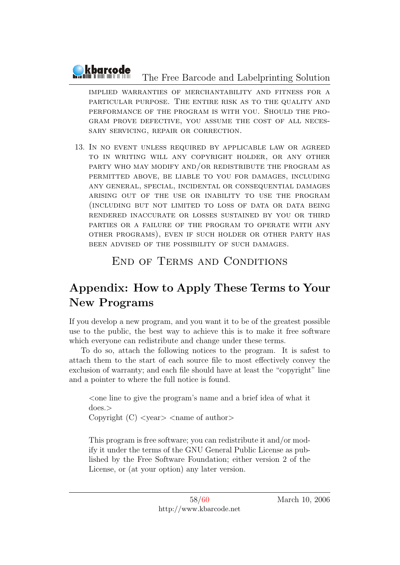implied warranties of merchantability and fitness for a particular purpose. The entire risk as to the quality and performance of the program is with you. Should the program prove defective, you assume the cost of all necessary servicing, repair or correction.

13. In no event unless required by applicable law or agreed to in writing will any copyright holder, or any other party who may modify and/or redistribute the program as permitted above, be liable to you for damages, including any general, special, incidental or consequential damages arising out of the use or inability to use the program (including but not limited to loss of data or data being rendered inaccurate or losses sustained by you or third parties or a failure of the program to operate with any other programs), even if such holder or other party has been advised of the possibility of such damages.

## End of Terms and Conditions

## Appendix: How to Apply These Terms to Your New Programs

If you develop a new program, and you want it to be of the greatest possible use to the public, the best way to achieve this is to make it free software which everyone can redistribute and change under these terms.

To do so, attach the following notices to the program. It is safest to attach them to the start of each source file to most effectively convey the exclusion of warranty; and each file should have at least the "copyright" line and a pointer to where the full notice is found.

 $\leq$  one line to give the program's name and a brief idea of what it does.> Copyright  $(C)$  <year > <name of author

This program is free software; you can redistribute it and/or modify it under the terms of the GNU General Public License as published by the Free Software Foundation; either version 2 of the License, or (at your option) any later version.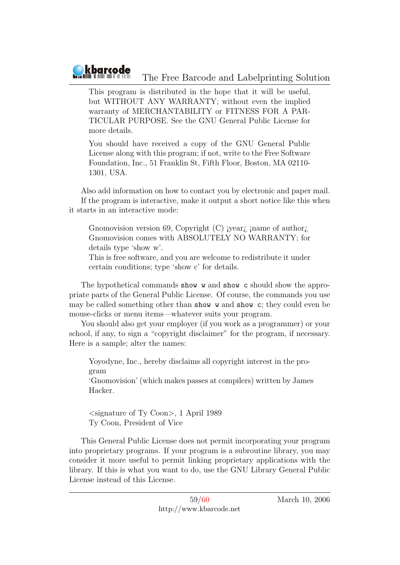

This program is distributed in the hope that it will be useful, but WITHOUT ANY WARRANTY; without even the implied warranty of MERCHANTABILITY or FITNESS FOR A PAR-TICULAR PURPOSE. See the GNU General Public License for more details.

You should have received a copy of the GNU General Public License along with this program; if not, write to the Free Software Foundation, Inc., 51 Franklin St, Fifth Floor, Boston, MA 02110- 1301, USA.

Also add information on how to contact you by electronic and paper mail. If the program is interactive, make it output a short notice like this when it starts in an interactive mode:

Gnomovision version 69, Copyright (C) jyear<sub>i</sub> jname of author<sub>i</sub> Gnomovision comes with ABSOLUTELY NO WARRANTY; for details type 'show w'.

This is free software, and you are welcome to redistribute it under certain conditions; type 'show c' for details.

The hypothetical commands show w and show c should show the appropriate parts of the General Public License. Of course, the commands you use may be called something other than show w and show c; they could even be mouse-clicks or menu items—whatever suits your program.

You should also get your employer (if you work as a programmer) or your school, if any, to sign a "copyright disclaimer" for the program, if necessary. Here is a sample; alter the names:

Yoyodyne, Inc., hereby disclaims all copyright interest in the program

'Gnomovision' (which makes passes at compilers) written by James Hacker.

<signature of Ty Coon>, 1 April 1989 Ty Coon, President of Vice

This General Public License does not permit incorporating your program into proprietary programs. If your program is a subroutine library, you may consider it more useful to permit linking proprietary applications with the library. If this is what you want to do, use the GNU Library General Public License instead of this License.